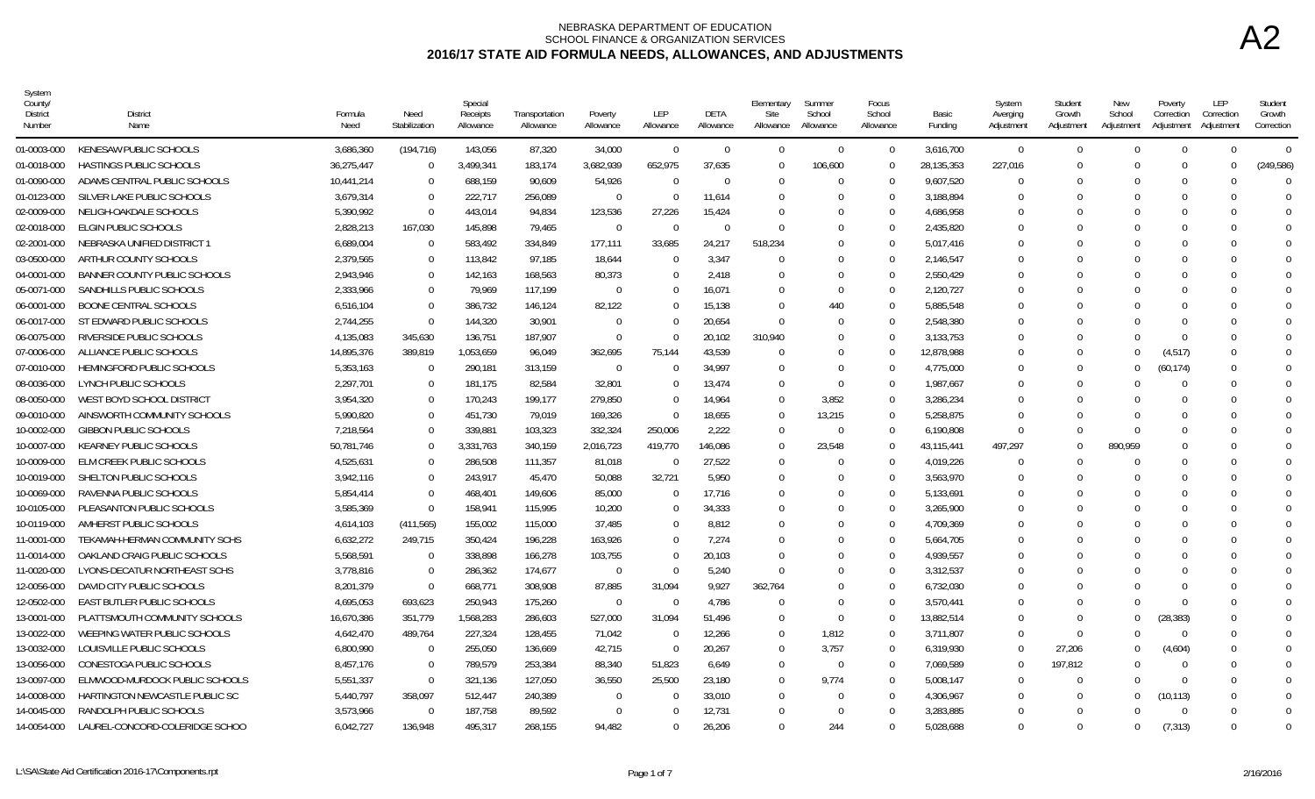| System<br>County.<br>District<br>Number | <b>District</b><br>Name          | Formula<br>Need | Need<br>Stabilization | Special<br>Receipts<br>Allowance | Transportation<br>Allowance | Poverty<br>Allowance | LEP<br>Allowance | <b>DETA</b><br>Allowance | Elementary<br>Site<br>Allowance | Summer<br>School<br>Allowance | Focus<br>School<br>Allowance | Basic<br>Funding | System<br>Averging<br>Adjustment | Student<br>Growth<br>Adjustment | New<br>School<br>Adjustment | Poverty<br>Correction<br>Adjustment | LEP<br>Correction<br>Adjustmen | Student<br>Growth<br>Correction |
|-----------------------------------------|----------------------------------|-----------------|-----------------------|----------------------------------|-----------------------------|----------------------|------------------|--------------------------|---------------------------------|-------------------------------|------------------------------|------------------|----------------------------------|---------------------------------|-----------------------------|-------------------------------------|--------------------------------|---------------------------------|
| 01-0003-000                             | KENESAW PUBLIC SCHOOLS           | 3,686,360       | (194, 716)            | 143,056                          | 87,320                      | 34,000               | $\Omega$         | $\Omega$                 | $\Omega$                        | $\Omega$                      | $\Omega$                     | 3,616,700        | $\overline{0}$                   | $\Omega$                        |                             | $\theta$                            | $\Omega$                       | $\Omega$                        |
| 01-0018-000                             | HASTINGS PUBLIC SCHOOLS          | 36,275,447      | $\overline{0}$        | 3,499,341                        | 183,174                     | 3,682,939            | 652,975          | 37,635                   | $\overline{0}$                  | 106,600                       | $\Omega$                     | 28,135,353       | 227,016                          |                                 |                             | $\Omega$                            | $\Omega$                       | (249, 586)                      |
| 01-0090-000                             | ADAMS CENTRAL PUBLIC SCHOOLS     | 10,441,214      | 0                     | 688,159                          | 90,609                      | 54,926               | $\Omega$         | $\Omega$                 | - 0                             | $\Omega$                      | - 0                          | 9,607,520        | $\Omega$                         |                                 |                             | $\Omega$                            |                                | $\sqrt{ }$                      |
| 01-0123-000                             | SILVER LAKE PUBLIC SCHOOLS       | 3.679.314       | $\Omega$              | 222.717                          | 256.089                     | $\Omega$             | $\Omega$         | 11.614                   | $\Omega$                        | $\Omega$                      | $\cap$                       | 3.188.894        | $\Omega$                         |                                 |                             | $\Omega$                            | $\Omega$                       | $\Omega$                        |
| 02-0009-000                             | NELIGH-OAKDALE SCHOOLS           | 5,390,992       | $\overline{0}$        | 443,014                          | 94,834                      | 123,536              | 27,226           | 15,424                   | $\Omega$                        | $\Omega$                      | $\cap$                       | 4,686,958        | $\Omega$                         |                                 |                             | $\Omega$                            |                                | $\Omega$                        |
| 02-0018-000                             | ELGIN PUBLIC SCHOOLS             | 2,828,213       | 167,030               | 145,898                          | 79,465                      | $\Omega$             | $\theta$         | $\Omega$                 | $\Omega$                        | $\Omega$                      |                              | 2,435,820        | $\Omega$                         |                                 |                             |                                     |                                |                                 |
| 02-2001-000                             | NEBRASKA UNIFIED DISTRICT 1      | 6,689,004       | - 0                   | 583,492                          | 334,849                     | 177,111              | 33,685           | 24,217                   | 518,234                         | $\Omega$                      | $\Omega$                     | 5,017,416        | $\Omega$                         |                                 |                             |                                     |                                |                                 |
| 03-0500-000                             | ARTHUR COUNTY SCHOOLS            | 2,379,565       | $\mathbf 0$           | 113,842                          | 97,185                      | 18,644               | $\Omega$         | 3.347                    | $\Omega$                        | $\Omega$                      | - 0                          | 2,146,547        | $\Omega$                         |                                 |                             |                                     |                                |                                 |
| 04-0001-000                             | BANNER COUNTY PUBLIC SCHOOLS     | 2.943.946       | $\Omega$              | 142.163                          | 168.563                     | 80.373               | $\overline{0}$   | 2.418                    | - 0                             | $\Omega$                      | $\cap$                       | 2.550.429        | $\Omega$                         |                                 |                             | $\Omega$                            | $\Omega$                       | $\Omega$                        |
| 05-0071-000                             | SANDHILLS PUBLIC SCHOOLS         | 2,333,966       | $\Omega$              | 79,969                           | 117,199                     | $\Omega$             | $\Omega$         | 16,071                   | $\Omega$                        | $\Omega$                      | $\cap$                       | 2,120,727        | $\Omega$                         |                                 |                             |                                     |                                | $\Omega$                        |
| 06-0001-000                             | <b>BOONE CENTRAL SCHOOLS</b>     | 6.516.104       | $\Omega$              | 386,732                          | 146,124                     | 82,122               | $\Omega$         | 15,138                   | $\Omega$                        | 440                           | $\Omega$                     | 5,885,548        | $\Omega$                         |                                 |                             | $\Omega$                            | $\Omega$                       |                                 |
| 06-0017-000                             | ST EDWARD PUBLIC SCHOOLS         | 2,744,255       | $\overline{0}$        | 144,320                          | 30,901                      | - 0                  | 0                | 20,654                   | $\Omega$                        | -0                            | - 0                          | 2,548,380        | -0                               |                                 |                             | $\Omega$                            |                                |                                 |
| 06-0075-000                             | RIVERSIDE PUBLIC SCHOOLS         | 4,135,083       | 345,630               | 136,751                          | 187,907                     | $\Omega$             | $\Omega$         | 20,102                   | 310,940                         | 0                             | $\Omega$                     | 3,133,753        | $\Omega$                         |                                 |                             | $\Omega$                            |                                |                                 |
| 07-0006-000                             | ALLIANCE PUBLIC SCHOOLS          | 14.895.376      | 389.819               | 1.053.659                        | 96.049                      | 362.695              | 75.144           | 43.539                   | $\overline{0}$                  | $\Omega$                      | $\cap$                       | 12,878,988       | $\Omega$                         |                                 | $\Omega$                    | (4, 517)                            | $\Omega$                       | $\Omega$                        |
| 07-0010-000                             | <b>HEMINGFORD PUBLIC SCHOOLS</b> | 5,353,163       | $\Omega$              | 290,181                          | 313,159                     | $\Omega$             | $\Omega$         | 34,997                   | $\Omega$                        | $\Omega$                      | $\cap$                       | 4,775,000        | $\Omega$                         |                                 | U                           | (60, 174)                           |                                | $\Omega$                        |
| 08-0036-000                             | LYNCH PUBLIC SCHOOLS             | 2,297,701       | $\overline{0}$        | 181,175                          | 82,584                      | 32,801               | $\Omega$         | 13,474                   | $\Omega$                        | $\Omega$                      | $\Omega$                     | 1,987,667        | $\Omega$                         |                                 |                             | $\Omega$                            | $\Omega$                       |                                 |
| 08-0050-000                             | WEST BOYD SCHOOL DISTRICT        | 3,954,320       | $\overline{0}$        | 170,243                          | 199,177                     | 279,850              | $\mathbf 0$      | 14,964                   | $\Omega$                        | 3,852                         | $\Omega$                     | 3,286,234        | $\Omega$                         |                                 |                             | $\Omega$                            |                                |                                 |
| 09-0010-000                             | AINSWORTH COMMUNITY SCHOOLS      | 5,990,820       | $\Omega$              | 451,730                          | 79,019                      | 169,326              | $\Omega$         | 18,655                   | $\Omega$                        | 13,215                        | $\Omega$                     | 5,258,875        | $\Omega$                         |                                 |                             |                                     |                                |                                 |
| 10-0002-000                             | <b>GIBBON PUBLIC SCHOOLS</b>     | 7,218,564       | $\Omega$              | 339.881                          | 103,323                     | 332,324              | 250,006          | 2,222                    | $\Omega$                        | $\Omega$                      | $\cap$                       | 6,190,808        | $\Omega$                         |                                 |                             | $\Omega$                            |                                | $\Omega$                        |
| 10-0007-000                             | <b>KEARNEY PUBLIC SCHOOLS</b>    | 50,781,746      | $\Omega$              | 3,331,763                        | 340,159                     | 2,016,723            | 419,770          | 146,086                  | $\overline{0}$                  | 23,548                        | $\cap$                       | 43,115,441       | 497,297                          |                                 | 890,959                     | $\Omega$                            |                                | $\Omega$                        |
| 10-0009-000                             | ELM CREEK PUBLIC SCHOOLS         | 4,525,631       | $\Omega$              | 286,508                          | 111,357                     | 81,018               | $\Omega$         | 27,522                   | $\overline{0}$                  | $\Omega$                      | $\Omega$                     | 4,019,226        | $\overline{0}$                   |                                 |                             | $\Omega$                            | $\Omega$                       | $\Omega$                        |
| 10-0019-000                             | SHELTON PUBLIC SCHOOLS           | 3,942,116       | $\mathbf 0$           | 243,917                          | 45,470                      | 50,088               | 32,721           | 5,950                    | $\overline{0}$                  | $\Omega$                      | $\Omega$                     | 3,563,970        | $\Omega$                         |                                 |                             | $\Omega$                            |                                | $\Omega$                        |
| 10-0069-000                             | RAVENNA PUBLIC SCHOOLS           | 5.854.414       | $\Omega$              | 468.401                          | 149,606                     | 85,000               | $\Omega$         | 17.716                   | $\Omega$                        | $\Omega$                      | $\cap$                       | 5,133,691        | $\Omega$                         |                                 |                             | $\Omega$                            |                                |                                 |
| 10-0105-000                             | PLEASANTON PUBLIC SCHOOLS        | 3.585.369       | $\Omega$              | 158.941                          | 115.995                     | 10,200               | $\Omega$         | 34.333                   | - 0                             | $\Omega$                      | - 0                          | 3.265.900        | $\Omega$                         |                                 |                             | $\Omega$                            |                                | $\Omega$                        |
| 10-0119-000                             | AMHERST PUBLIC SCHOOLS           | 4,614,103       | (411, 565)            | 155,002                          | 115,000                     | 37,485               | $\mathbf 0$      | 8,812                    | 0                               | $\Omega$                      |                              | 4,709,369        | $\Omega$                         |                                 |                             |                                     |                                |                                 |
| 11-0001-000                             | TEKAMAH-HERMAN COMMUNITY SCHS    | 6,632,272       | 249,715               | 350,424                          | 196,228                     | 163,926              | $\Omega$         | 7,274                    | - 0                             | $\Omega$                      | $\Omega$                     | 5,664,705        | $\Omega$                         |                                 |                             | $\Omega$                            | $\Omega$                       |                                 |
| 11-0014-000                             | OAKLAND CRAIG PUBLIC SCHOOLS     | 5,568,591       | $\Omega$              | 338,898                          | 166,278                     | 103,755              | $\Omega$         | 20,103                   | $\Omega$                        | $\Omega$                      | - 0                          | 4,939,557        | $\Omega$                         |                                 |                             | $\Omega$                            |                                |                                 |
| 11-0020-000                             | LYONS-DECATUR NORTHEAST SCHS     | 3.778.816       | $\Omega$              | 286,362                          | 174.677                     | $\overline{0}$       | $\Omega$         | 5,240                    | $\Omega$                        | $\Omega$                      | $\cap$                       | 3,312,537        | $\Omega$                         |                                 |                             |                                     |                                |                                 |
| 12-0056-000                             | DAVID CITY PUBLIC SCHOOLS        | 8.201.379       | $\Omega$              | 668,771                          | 308.908                     | 87.885               | 31.094           | 9.927                    | 362,764                         | $\Omega$                      | $\cap$                       | 6.732.030        | $\Omega$                         |                                 |                             | $\Omega$                            |                                | $\Omega$                        |
| 12-0502-000                             | EAST BUTLER PUBLIC SCHOOLS       | 4,695,053       | 693,623               | 250,943                          | 175,260                     | $\Omega$             | $\Omega$         | 4,786                    | $\Omega$                        | $\Omega$                      | $\Omega$                     | 3,570,441        | $\Omega$                         |                                 |                             | $\Omega$                            |                                |                                 |
| 13-0001-000                             | PLATTSMOUTH COMMUNITY SCHOOLS    | 16,670,386      | 351,779               | 1,568,283                        | 286,603                     | 527,000              | 31,094           | 51,496                   | $\overline{0}$                  | $\Omega$                      | $\cap$                       | 13,882,514       | $\Omega$                         |                                 | $\Omega$                    | (28, 383)                           |                                |                                 |
| 13-0022-000                             | WEEPING WATER PUBLIC SCHOOLS     | 4,642,470       | 489,764               | 227,324                          | 128,455                     | 71,042               | $\overline{0}$   | 12,266                   | $\overline{0}$                  | 1,812                         | - 0                          | 3,711,807        | $\Omega$                         |                                 |                             | $\overline{0}$                      |                                |                                 |
| 13-0032-000                             | LOUISVILLE PUBLIC SCHOOLS        | 6,800,990       | $\Omega$              | 255,050                          | 136,669                     | 42,715               | $\mathbf 0$      | 20,267                   | $\Omega$                        | 3.757                         | $\Omega$                     | 6,319,930        | $\Omega$                         | 27,206                          | U                           | (4,604)                             | $\Omega$                       | $\Omega$                        |
| 13-0056-000                             | CONESTOGA PUBLIC SCHOOLS         | 8.457.176       | $\Omega$              | 789.579                          | 253.384                     | 88.340               | 51.823           | 6,649                    | $\Omega$                        | $\Omega$                      | - 0                          | 7.069.589        | - 0                              | 197,812                         |                             | $\Omega$                            |                                | $\Omega$                        |
| 13-0097-000                             | ELMWOOD-MURDOCK PUBLIC SCHOOLS   | 5,551,337       | $\overline{0}$        | 321,136                          | 127,050                     | 36,550               | 25,500           | 23,180                   | $\Omega$                        | 9,774                         | $\Omega$                     | 5,008,147        | $\Omega$                         |                                 |                             | $\Omega$                            |                                |                                 |
| 14-0008-000                             | HARTINGTON NEWCASTLE PUBLIC SC   | 5,440,797       | 358,097               | 512,447                          | 240,389                     | - 0                  | 0                | 33,010                   | - 0                             | $\Omega$                      | $\Omega$                     | 4,306,967        | -0                               |                                 | 0                           | (10, 113)                           |                                |                                 |
| 14-0045-000                             | RANDOLPH PUBLIC SCHOOLS          | 3,573,966       | $\Omega$              | 187,758                          | 89,592                      | $\Omega$             | $\Omega$         | 12,731                   | $\Omega$                        | $\Omega$                      |                              | 3,283,885        | $\Omega$                         |                                 |                             | $\Omega$                            |                                |                                 |
| 14-0054-000                             | LAUREL-CONCORD-COLERIDGE SCHOO   | 6,042,727       | 136,948               | 495,317                          | 268.155                     | 94.482               | $\Omega$         | 26,206                   | $\Omega$                        | 244                           | $\cup$                       | 5,028,688        | $\Omega$                         |                                 | $\Omega$                    | (7, 313)                            | $\Omega$                       | $\Omega$                        |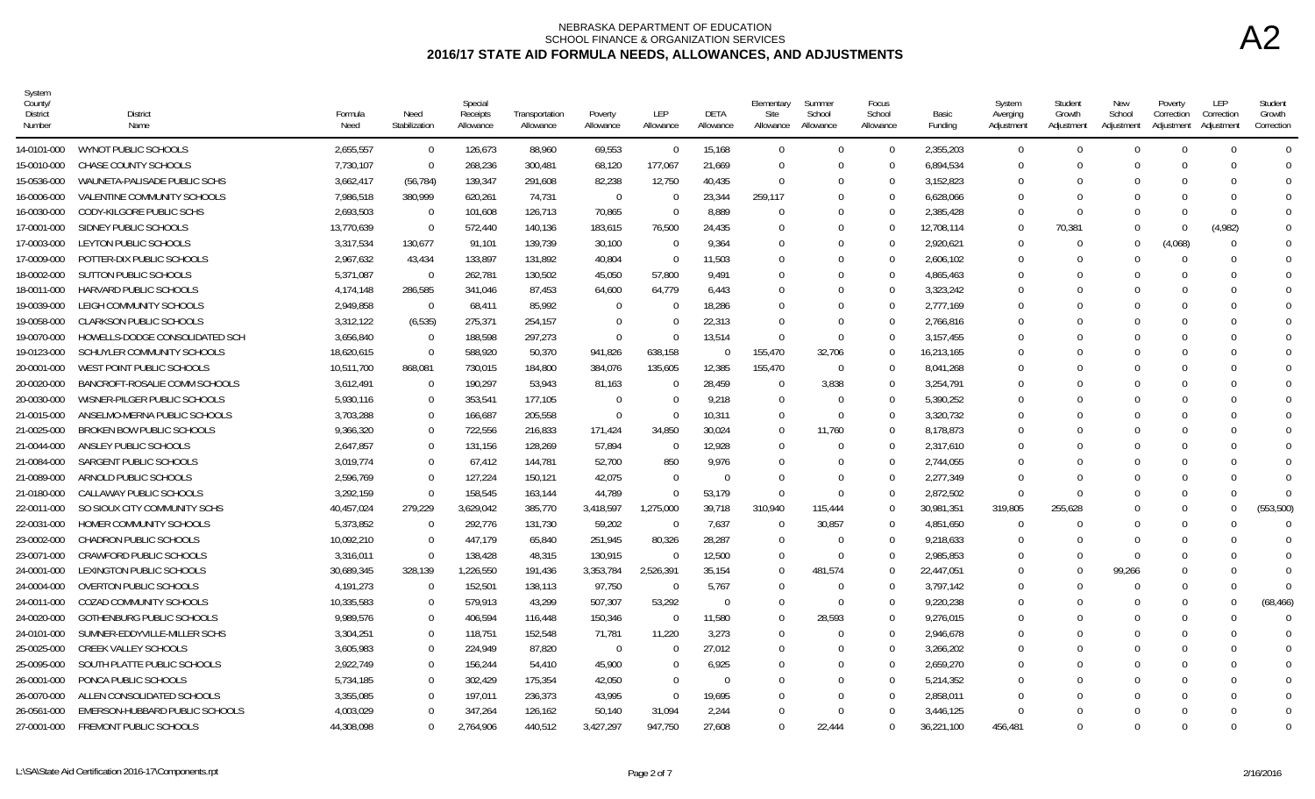| System<br>County<br>District<br>Number | <b>District</b><br>Name          | Formula<br>Need | Need<br>Stabilization | Special<br>Receipts<br>Allowance | Transportation<br>Allowance | Poverty<br>Allowance | <b>LEP</b><br>Allowance | <b>DETA</b><br>Allowance | Elementary<br>Site<br>Allowance | Summer<br>School<br>Allowance | Focus<br>School<br>Allowance | Basic<br>Funding | System<br>Averging<br>Adjustment | Student<br>Growth<br>Adjustment | New<br>School<br>Adjustment | Poverty<br>Correction<br>Adjustment | LEP<br>Correction<br>Adjustment | Student<br>Growth<br>Correction |
|----------------------------------------|----------------------------------|-----------------|-----------------------|----------------------------------|-----------------------------|----------------------|-------------------------|--------------------------|---------------------------------|-------------------------------|------------------------------|------------------|----------------------------------|---------------------------------|-----------------------------|-------------------------------------|---------------------------------|---------------------------------|
| 14-0101-000                            | WYNOT PUBLIC SCHOOLS             | 2,655,557       | $\overline{0}$        | 126,673                          | 88,960                      | 69,553               | $\Omega$                | 15,168                   | $\Omega$                        | $\cap$                        | $\Omega$                     | 2,355,203        | $\Omega$                         | $\Omega$                        | $\Omega$                    | $\Omega$                            | $\Omega$                        | $\overline{0}$                  |
| 15-0010-000                            | CHASE COUNTY SCHOOLS             | 7,730,107       | $\overline{0}$        | 268,236                          | 300,481                     | 68,120               | 177,067                 | 21,669                   | $\Omega$                        | $\Omega$                      | $\Omega$                     | 6,894,534        | $\Omega$                         | $\Omega$                        |                             | $\Omega$                            | ∩                               | $\Omega$                        |
| 15-0536-000                            | WAUNETA-PALISADE PUBLIC SCHS     | 3,662,417       | (56, 784)             | 139,347                          | 291,608                     | 82,238               | 12,750                  | 40,435                   | $\Omega$                        |                               | $\Omega$                     | 3,152,823        | $\Omega$                         | $\Omega$                        |                             |                                     |                                 | $\Omega$                        |
| 16-0006-000                            | VALENTINE COMMUNITY SCHOOLS      | 7,986,518       | 380,999               | 620,261                          | 74,731                      | $\Omega$             | $\Omega$                | 23,344                   | 259,117                         | $\Omega$                      | $\Omega$                     | 6,628,066        | $\Omega$                         | $\Omega$                        |                             |                                     | $\Omega$                        | $\Omega$                        |
| 16-0030-000                            | CODY-KILGORE PUBLIC SCHS         | 2.693.503       | $\overline{0}$        | 101,608                          | 126,713                     | 70,865               | $\Omega$                | 8,889                    | $\Omega$                        |                               | $\Omega$                     | 2.385.428        | $\Omega$                         | $\Omega$                        |                             | $\cap$                              | $\Omega$                        | $\overline{0}$                  |
| 17-0001-000                            | SIDNEY PUBLIC SCHOOLS            | 13,770,639      | $\Omega$              | 572,440                          | 140,136                     | 183,615              | 76,500                  | 24,435                   | $\Omega$                        |                               | $\Omega$                     | 12,708,114       | $\Omega$                         | 70,381                          |                             | $\Omega$                            | (4,982)                         |                                 |
| 17-0003-000                            | LEYTON PUBLIC SCHOOLS            | 3,317,534       | 130,677               | 91,101                           | 139,739                     | 30,100               | $\Omega$                | 9,364                    | $\Omega$                        |                               | $\Omega$                     | 2,920,621        | $\Omega$                         | $\Omega$                        | $\Omega$                    | (4,068)                             | <sup>0</sup>                    |                                 |
| 17-0009-000                            | POTTER-DIX PUBLIC SCHOOLS        | 2,967,632       | 43,434                | 133,897                          | 131,892                     | 40,804               | $\Omega$                | 11.503                   | $\Omega$                        |                               | $\Omega$                     | 2,606,102        | $\Omega$                         | $\Omega$                        |                             | $\Omega$                            |                                 |                                 |
| 18-0002-000                            | <b>SUTTON PUBLIC SCHOOLS</b>     | 5,371,087       | $\overline{0}$        | 262,781                          | 130,502                     | 45,050               | 57,800                  | 9,491                    | $\Omega$                        |                               | $\Omega$                     | 4,865,463        | $\Omega$                         | $\Omega$                        |                             | $\Omega$                            | ∩                               | $\Omega$                        |
| 18-0011-000                            | HARVARD PUBLIC SCHOOLS           | 4.174.148       | 286,585               | 341,046                          | 87,453                      | 64,600               | 64,779                  | 6.443                    | $\Omega$                        |                               | $\Omega$                     | 3,323,242        | $\cap$                           | $\Omega$                        |                             |                                     |                                 |                                 |
| 19-0039-000                            | LEIGH COMMUNITY SCHOOLS          | 2.949.858       | $\overline{0}$        | 68,411                           | 85.992                      | - 0                  | $\Omega$                | 18.286                   | $\Omega$                        | $\Omega$                      | $\Omega$                     | 2.777.169        | $\Omega$                         | $\Omega$                        |                             | $\Omega$                            |                                 |                                 |
| 19-0058-000                            | <b>CLARKSON PUBLIC SCHOOLS</b>   | 3,312,122       | (6, 535)              | 275,371                          | 254,157                     | $\Omega$             | 0                       | 22.313                   | $\Omega$                        | $\Omega$                      | $\Omega$                     | 2,766,816        | $\Omega$                         |                                 |                             |                                     |                                 |                                 |
| 19-0070-000                            | HOWELLS-DODGE CONSOLIDATED SCH   | 3,656,840       | $\overline{0}$        | 188,598                          | 297,273                     | $\Omega$             | $\Omega$                | 13,514                   | $\Omega$                        | $\Omega$                      | $\Omega$                     | 3,157,455        | $\Omega$                         |                                 |                             |                                     |                                 |                                 |
| 19-0123-000                            | SCHUYLER COMMUNITY SCHOOLS       | 18,620,615      | $\overline{0}$        | 588,920                          | 50,370                      | 941,826              | 638,158                 | $\Omega$                 | 155,470                         | 32,706                        | $\Omega$                     | 16,213,165       | $\cap$                           | $\Omega$                        |                             | $\Omega$                            | <sup>0</sup>                    | $\Omega$                        |
| 20-0001-000                            | WEST POINT PUBLIC SCHOOLS        | 10,511,700      | 868,081               | 730,015                          | 184,800                     | 384,076              | 135,605                 | 12,385                   | 155,470                         | $\Omega$                      | $\Omega$                     | 8,041,268        | $\Omega$                         | $\Omega$                        |                             | $\Omega$                            |                                 |                                 |
| 20-0020-000                            | BANCROFT-ROSALIE COMM SCHOOLS    | 3,612,491       | $\Omega$              | 190,297                          | 53.943                      | 81,163               | $\Omega$                | 28,459                   | $\Omega$                        | 3,838                         | $\Omega$                     | 3,254,791        | $\Omega$                         | $\Omega$                        |                             | $\Omega$                            |                                 |                                 |
| 20-0030-000                            | WISNER-PILGER PUBLIC SCHOOLS     | 5.930.116       | $\Omega$              | 353.541                          | 177.105                     | - 0                  | $\Omega$                | 9.218                    | $\Omega$                        | $\Omega$                      | $\Omega$                     | 5.390.252        | $\Omega$                         | $\Omega$                        |                             | $\Omega$                            |                                 |                                 |
| 21-0015-000                            | ANSELMO-MERNA PUBLIC SCHOOLS     | 3,703,288       | $\overline{0}$        | 166,687                          | 205,558                     | $\Omega$             | $\Omega$                | 10,311                   | $\overline{0}$                  | $\Omega$                      | $\Omega$                     | 3,320,732        | $\Omega$                         | $\Omega$                        |                             |                                     |                                 |                                 |
| 21-0025-000                            | BROKEN BOW PUBLIC SCHOOLS        | 9,366,320       | $\Omega$              | 722,556                          | 216,833                     | 171,424              | 34,850                  | 30,024                   | $\Omega$                        | 11,760                        | $\Omega$                     | 8,178,873        | $\Omega$                         |                                 |                             |                                     |                                 | $\Omega$                        |
| 21-0044-000                            | ANSLEY PUBLIC SCHOOLS            | 2,647,857       | $\Omega$              | 131,156                          | 128,269                     | 57,894               | $\Omega$                | 12,928                   | $\Omega$                        |                               | $\Omega$                     | 2,317,610        | $\Omega$                         |                                 |                             |                                     |                                 |                                 |
| 21-0084-000                            | SARGENT PUBLIC SCHOOLS           | 3.019.774       | $\Omega$              | 67.412                           | 144,781                     | 52,700               | 850                     | 9,976                    | $\Omega$                        | $\cap$                        | $\Omega$                     | 2,744,055        | $\Omega$                         | $\Omega$                        |                             |                                     |                                 |                                 |
| 21-0089-000                            | ARNOLD PUBLIC SCHOOLS            | 2,596,769       | $\Omega$              | 127,224                          | 150,121                     | 42,075               | $\Omega$                | $\Omega$                 | $\Omega$                        | $\Omega$                      | $\Omega$                     | 2,277,349        | $\Omega$                         | $\Omega$                        |                             |                                     |                                 |                                 |
| 21-0180-000                            | CALLAWAY PUBLIC SCHOOLS          | 3,292,159       | $\overline{0}$        | 158,545                          | 163,144                     | 44,789               | $\Omega$                | 53.179                   | $\Omega$                        | $\Omega$                      | $\Omega$                     | 2,872,502        | $\Omega$                         | $\Omega$                        |                             | $\Omega$                            | $\Omega$                        | $\cap$                          |
| 22-0011-000                            | SO SIOUX CITY COMMUNITY SCHS     | 40,457,024      | 279,229               | 3,629,042                        | 385.770                     | 3,418,597            | 1,275,000               | 39,718                   | 310,940                         | 115,444                       | $\Omega$                     | 30,981,351       | 319,805                          | 255,628                         |                             | $\Omega$                            | $\Omega$                        | (553,500)                       |
| 22-0031-000                            | HOMER COMMUNITY SCHOOLS          | 5,373,852       | $\Omega$              | 292,776                          | 131,730                     | 59,202               | $\Omega$                | 7,637                    | $\Omega$                        | 30,857                        | $\Omega$                     | 4,851,650        | $\Omega$                         |                                 |                             | $\Omega$                            |                                 |                                 |
| 23-0002-000                            | <b>CHADRON PUBLIC SCHOOLS</b>    | 10,092,210      | $\Omega$              | 447,179                          | 65,840                      | 251,945              | 80.326                  | 28,287                   | $\Omega$                        | $\Omega$                      | $\Omega$                     | 9,218,633        | $\Omega$                         | $\Omega$                        |                             | $\Omega$                            |                                 |                                 |
| 23-0071-000                            | <b>CRAWFORD PUBLIC SCHOOLS</b>   | 3,316,011       | $\overline{0}$        | 138,428                          | 48,315                      | 130,915              | $\Omega$                | 12,500                   | $\overline{0}$                  | $\Omega$                      | $\Omega$                     | 2,985,853        | $\Omega$                         | $\Omega$                        |                             | $\Omega$                            |                                 |                                 |
| 24-0001-000                            | LEXINGTON PUBLIC SCHOOLS         | 30,689,345      | 328,139               | 1,226,550                        | 191,436                     | 3,353,784            | 2,526,391               | 35,154                   | $\Omega$                        | 481,574                       | $\Omega$                     | 22,447,051       | $\Omega$                         | $\Omega$                        | 99,266                      | $\Omega$                            | $\Omega$                        | $\Omega$                        |
| 24-0004-000                            | <b>OVERTON PUBLIC SCHOOLS</b>    | 4.191.273       | $\Omega$              | 152,501                          | 138.113                     | 97,750               | $\Omega$                | 5.767                    | $\Omega$                        | $\Omega$                      | $\Omega$                     | 3.797.142        | $\Omega$                         | $\Omega$                        |                             | $\Omega$                            | <sup>0</sup>                    | - 0                             |
| 24-0011-000                            | COZAD COMMUNITY SCHOOLS          | 10.335.583      | $\Omega$              | 579,913                          | 43.299                      | 507.307              | 53.292                  | $\Omega$                 | $\Omega$                        | $\Omega$                      | $\Omega$                     | 9.220.238        | $\Omega$                         | $\Omega$                        |                             | $\Omega$                            | $\Omega$                        | (68, 466)                       |
| 24-0020-000                            | <b>GOTHENBURG PUBLIC SCHOOLS</b> | 9,989,576       | $\Omega$              | 406,594                          | 116,448                     | 150,346              | $\Omega$                | 11,580                   | $\Omega$                        | 28,593                        | $\Omega$                     | 9,276,015        | $\Omega$                         |                                 |                             | $\Omega$                            | ∩                               | $\Omega$                        |
| 24-0101-000                            | SUMNER-EDDYVILLE-MILLER SCHS     | 3,304,251       | $\overline{0}$        | 118,751                          | 152,548                     | 71,781               | 11,220                  | 3,273                    | $\overline{0}$                  | $\cap$                        | $\Omega$                     | 2,946,678        | $\Omega$                         |                                 |                             |                                     |                                 |                                 |
| 25-0025-000                            | <b>CREEK VALLEY SCHOOLS</b>      | 3,605,983       | $\Omega$              | 224,949                          | 87,820                      | $\overline{0}$       | $\Omega$                | 27.012                   | $\Omega$                        | $\Omega$                      | $\Omega$                     | 3,266,202        | $\Omega$                         | $\Omega$                        |                             | $\Omega$                            | $\Box$                          | $\Omega$                        |
| 25-0095-000                            | SOUTH PLATTE PUBLIC SCHOOLS      | 2.922.749       | $\Omega$              | 156,244                          | 54.410                      | 45,900               | $\Omega$                | 6,925                    | $\Omega$                        |                               | $\Omega$                     | 2,659,270        | $\Omega$                         | $\Omega$                        |                             |                                     |                                 | $\Omega$                        |
| 26-0001-000                            | PONCA PUBLIC SCHOOLS             | 5.734.185       | $\Omega$              | 302.429                          | 175.354                     | 42.050               | $\Omega$                | $\Omega$                 | $\Omega$                        | $\Omega$                      | $\Omega$                     | 5.214.352        | $\Omega$                         | $\Omega$                        |                             |                                     |                                 |                                 |
| 26-0070-000                            | ALLEN CONSOLIDATED SCHOOLS       | 3,355,085       | - 0                   | 197,011                          | 236,373                     | 43,995               | $\Omega$                | 19,695                   | $\Omega$                        | $\Omega$                      | $\cup$                       | 2,858,011        | $\Omega$                         | $\Omega$                        |                             |                                     |                                 |                                 |
| 26-0561-000                            | EMERSON-HUBBARD PUBLIC SCHOOLS   | 4,003,029       | $\Omega$              | 347,264                          | 126,162                     | 50,140               | 31.094                  | 2,244                    | $\Omega$                        | $\cap$                        | $\Omega$                     | 3,446,125        | $\Omega$                         | $\Omega$                        |                             |                                     |                                 | $\Omega$                        |
| 27-0001-000                            | FREMONT PUBLIC SCHOOLS           | 44.308.098      | $\Omega$              | 2,764,906                        | 440.512                     | 3,427,297            | 947.750                 | 27.608                   | $\Omega$                        | 22,444                        | $\Omega$                     | 36,221,100       | 456.481                          | $\cup$                          |                             | $\Omega$                            | ∩                               | $\Omega$                        |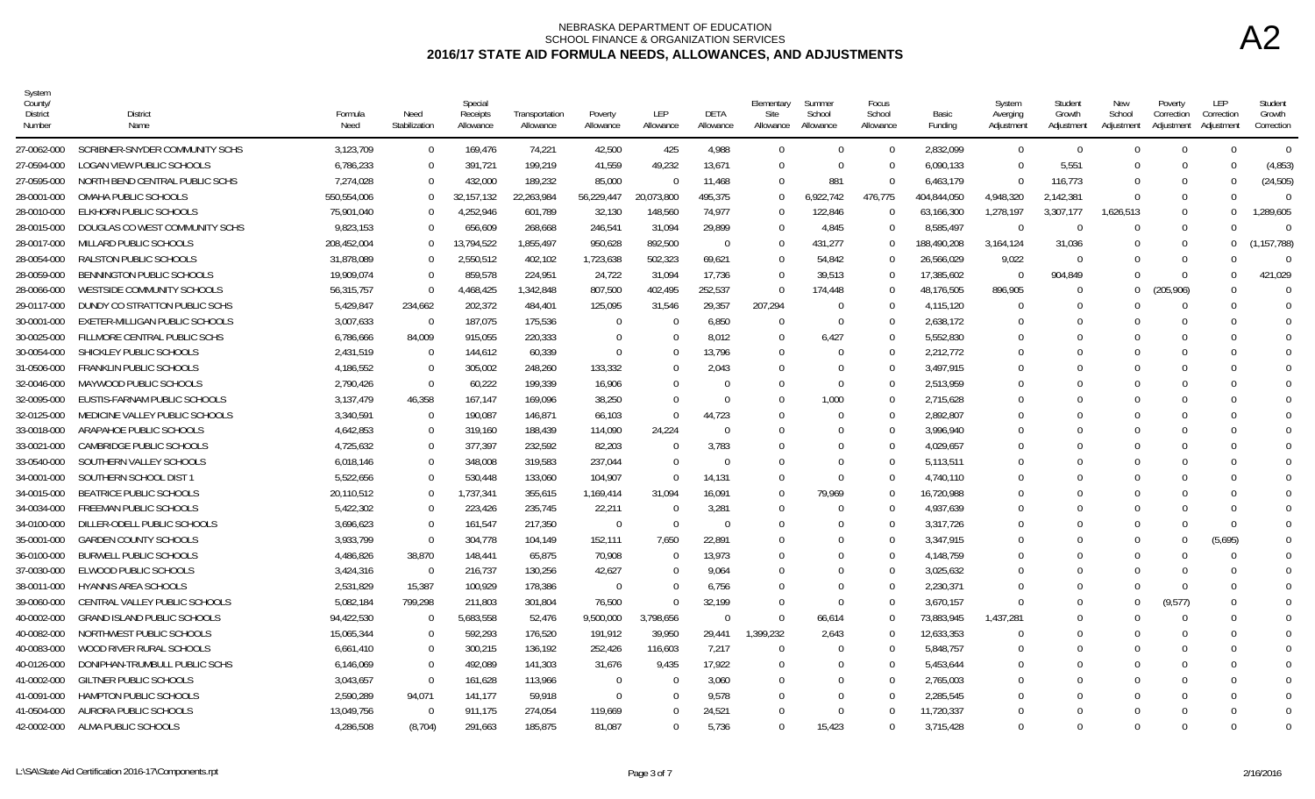| System<br>County<br>District<br>Number | District<br>Name                   | Formula<br>Need | Need<br>Stabilization | Special<br>Receipts<br>Allowance | Transportation<br>Allowance | Poverty<br>Allowance | LEP<br>Allowance | DETA<br>Allowance | Elementary<br>Site<br>Allowance | Summer<br>School<br>Allowance | Focus<br>School<br>Allowance | Basic<br>Funding | System<br>Averging<br>Adjustment | Student<br>Growth<br>Adjustment | New<br>School<br>Adjustment | Poverty<br>Correction<br>Adjustment | LEP<br>Correction<br>Adjustmen | Student<br>Growth<br>Correction |
|----------------------------------------|------------------------------------|-----------------|-----------------------|----------------------------------|-----------------------------|----------------------|------------------|-------------------|---------------------------------|-------------------------------|------------------------------|------------------|----------------------------------|---------------------------------|-----------------------------|-------------------------------------|--------------------------------|---------------------------------|
| 27-0062-000                            | SCRIBNER-SNYDER COMMUNITY SCHS     | 3,123,709       | $\overline{0}$        | 169,476                          | 74,221                      | 42,500               | 425              | 4,988             | $\theta$                        | $\Omega$                      | $\Omega$                     | 2,832,099        | $\overline{0}$                   | $\Omega$                        | $\Omega$                    | $\Omega$                            | $\Omega$                       | $\Omega$                        |
| 27-0594-000                            | LOGAN VIEW PUBLIC SCHOOLS          | 6,786,233       | $\Omega$              | 391,721                          | 199,219                     | 41,559               | 49,232           | 13,671            | $\Omega$                        | - 0                           | $\Omega$                     | 6,090,133        | $\Omega$                         | 5,551                           | $\Omega$                    | $\Omega$                            | - 0                            | (4,853)                         |
| 27-0595-000                            | NORTH BEND CENTRAL PUBLIC SCHS     | 7,274,028       | $\Omega$              | 432,000                          | 189,232                     | 85,000               |                  | 11,468            | $\mathbf 0$                     | 881                           | $\Omega$                     | 6,463,179        | $\Omega$                         | 116,773                         | $\Omega$                    | <sup>0</sup>                        | - 0                            | (24, 505)                       |
| 28-0001-000                            | OMAHA PUBLIC SCHOOLS               | 550,554,006     | $\Omega$              | 32, 157, 132                     | 22,263,984                  | 56,229,447           | 20,073,800       | 495,375           | $\Omega$                        | 6,922,742                     | 476,775                      | 404,844,050      | 4,948,320                        | 2,142,381                       | $\Omega$                    | $\Omega$                            | $\Omega$                       | $\Omega$                        |
| 28-0010-000                            | ELKHORN PUBLIC SCHOOLS             | 75,901,040      |                       | 4,252,946                        | 601.789                     | 32,130               | 148,560          | 74,977            | $\Omega$                        | 122,846                       | $\Omega$                     | 63,166,300       | 1,278,197                        | 3,307,177                       | 1,626,513                   | $\Omega$                            | $\Omega$                       | 1,289,605                       |
| 28-0015-000                            | DOUGLAS CO WEST COMMUNITY SCHS     | 9,823,153       | $\Omega$              | 656,609                          | 268,668                     | 246,541              | 31.094           | 29,899            | $\Omega$                        | 4,845                         |                              | 8.585.497        | $\Omega$                         | ſ                               | $\Omega$                    | $\Omega$                            | $\Omega$                       |                                 |
| 28-0017-000                            | MILLARD PUBLIC SCHOOLS             | 208,452,004     | $\Omega$              | 13,794,522                       | 1,855,497                   | 950,628              | 892,500          | $\Omega$          | $\overline{0}$                  | 431,277                       |                              | 188,490,208      | 3,164,124                        | 31,036                          | $\cup$                      | $\Omega$                            | $\Omega$                       | (1, 157, 788)                   |
| 28-0054-000                            | RALSTON PUBLIC SCHOOLS             | 31,878,089      | $\Omega$              | 2,550,512                        | 402,102                     | 1,723,638            | 502,323          | 69,621            | $\theta$                        | 54,842                        | $\Omega$                     | 26,566,029       | 9,022                            | $\bigcap$                       |                             |                                     | $\Omega$                       | $\Omega$                        |
| 28-0059-000                            | BENNINGTON PUBLIC SCHOOLS          | 19,909,074      | $\Omega$              | 859,578                          | 224,951                     | 24,722               | 31.094           | 17.736            | $\Omega$                        | 39,513                        | $\Omega$                     | 17,385,602       | $\Omega$                         | 904,849                         | $\Omega$                    | $\Omega$                            | $\Omega$                       | 421,029                         |
| 28-0066-000                            | WESTSIDE COMMUNITY SCHOOLS         | 56.315.757      | $\Omega$              | 4,468,425                        | 1,342,848                   | 807,500              | 402.495          | 252.537           | $\Omega$                        | 174.448                       | $\Omega$                     | 48.176.505       | 896.905                          | $\Omega$                        | $\Omega$                    | 205,906)                            | - 0                            | $\Omega$                        |
| 29-0117-000                            | DUNDY CO STRATTON PUBLIC SCHS      | 5,429,847       | 234,662               | 202,372                          | 484,401                     | 125,095              | 31,546           | 29,357            | 207,294                         | $\Omega$                      |                              | 4,115,120        | $\Omega$                         |                                 |                             |                                     | $\cap$                         | $\Omega$                        |
| 30-0001-000                            | EXETER-MILLIGAN PUBLIC SCHOOLS     | 3,007,633       | $\Omega$              | 187,075                          | 175,536                     | $\Omega$             | -0               | 6,850             | $\Omega$                        | $\Omega$                      | $\Omega$                     | 2.638.172        | $\Omega$                         | $\Omega$                        |                             |                                     | $\Omega$                       | $\Omega$                        |
| 30-0025-000                            | FILLMORE CENTRAL PUBLIC SCHS       | 6,786,666       | 84,009                | 915,055                          | 220,333                     | $\Omega$             |                  | 8,012             | $\theta$                        | 6,427                         |                              | 5,552,830        | $\Omega$                         |                                 |                             |                                     |                                | $\Omega$                        |
| 30-0054-000                            | SHICKLEY PUBLIC SCHOOLS            | 2,431,519       | $\Omega$              | 144,612                          | 60,339                      | $\Omega$             | $\Omega$         | 13,796            | $\Omega$                        | $\Omega$                      | $\Omega$                     | 2,212,772        | $\Omega$                         | $\Omega$                        |                             |                                     | $\Omega$                       | $\Omega$                        |
| 31-0506-000                            | <b>FRANKLIN PUBLIC SCHOOLS</b>     | 4,186,552       | $\Omega$              | 305,002                          | 248,260                     | 133,332              | $\Omega$         | 2,043             | $\Omega$                        |                               |                              | 3,497,915        | $\Omega$                         |                                 |                             |                                     |                                | $\Omega$                        |
| 32-0046-000                            | MAYWOOD PUBLIC SCHOOLS             | 2,790,426       | $\Omega$              | 60,222                           | 199,339                     | 16,906               | $\Omega$         | $\Omega$          | $\Omega$                        | $\Omega$                      |                              | 2,513,959        | $\Omega$                         |                                 |                             |                                     | $\Omega$                       | $\theta$                        |
| 32-0095-000                            | EUSTIS-FARNAM PUBLIC SCHOOLS       | 3.137.479       | 46,358                | 167.147                          | 169,096                     | 38,250               | $\Omega$         | $\Omega$          | $\Omega$                        | 1,000                         | $\Omega$                     | 2,715,628        | $\Omega$                         |                                 |                             |                                     | $\Omega$                       | 0                               |
| 32-0125-000                            | MEDICINE VALLEY PUBLIC SCHOOLS     | 3,340,591       | $\Omega$              | 190,087                          | 146,871                     | 66,103               | $\cap$           | 44,723            | $\Omega$                        | $\Omega$                      | $\Omega$                     | 2,892,807        |                                  |                                 |                             |                                     | $\Omega$                       | $\Omega$                        |
| 33-0018-000                            | ARAPAHOE PUBLIC SCHOOLS            | 4.642.853       | $\Omega$              | 319,160                          | 188,439                     | 114,090              | 24,224           | $\Omega$          | $\Omega$                        |                               | $\Omega$                     | 3.996.940        | $\Omega$                         |                                 |                             |                                     |                                | $\theta$                        |
| 33-0021-000                            | <b>CAMBRIDGE PUBLIC SCHOOLS</b>    | 4,725,632       | $\Omega$              | 377,397                          | 232,592                     | 82,203               | $\Omega$         | 3,783             | $\Omega$                        |                               |                              | 4,029,657        |                                  |                                 |                             |                                     |                                |                                 |
| 33-0540-000                            | SOUTHERN VALLEY SCHOOLS            | 6,018,146       | $\Omega$              | 348,008                          | 319,583                     | 237,044              | $\Omega$         | $\Omega$          | $\Omega$                        | 0                             |                              | 5,113,511        | $^{\circ}$                       |                                 |                             |                                     | $\Omega$                       | $\Omega$                        |
| 34-0001-000                            | SOUTHERN SCHOOL DIST 1             | 5,522,656       | $\Omega$              | 530,448                          | 133,060                     | 104,907              | $\Omega$         | 14,131            | 0                               | $\Omega$                      |                              | 4,740,110        | $\cup$                           |                                 |                             |                                     |                                |                                 |
| 34-0015-000                            | <b>BEATRICE PUBLIC SCHOOLS</b>     | 20,110,512      | $\Omega$              | 1,737,341                        | 355,615                     | 1,169,414            | 31,094           | 16,091            | $\Omega$                        | 79,969                        | $\Omega$                     | 16,720,988       | $\Omega$                         | $\cap$                          |                             |                                     | $\Omega$                       | $\Omega$                        |
| 34-0034-000                            | FREEMAN PUBLIC SCHOOLS             | 5,422,302       | $\Omega$              | 223,426                          | 235,745                     | 22,211               |                  | 3,281             | $\Omega$                        | 0                             | $\Omega$                     | 4,937,639        | $^{\circ}$                       |                                 |                             |                                     |                                | $\Omega$                        |
| 34-0100-000                            | DILLER-ODELL PUBLIC SCHOOLS        | 3.696.623       | $\Omega$              | 161.547                          | 217.350                     | $\Omega$             | $\Omega$         | $\Omega$          | $\Omega$                        | $\Omega$                      |                              | 3,317,726        |                                  |                                 | $\Omega$                    |                                     | $\Omega$                       | $\Omega$                        |
| 35-0001-000                            | <b>GARDEN COUNTY SCHOOLS</b>       | 3,933,799       | $\Omega$              | 304,778                          | 104,149                     | 152,111              | 7,650            | 22,891            | $\Omega$                        |                               |                              | 3,347,915        | $\Omega$                         |                                 | $\cup$                      |                                     | (5,695)                        | $\theta$                        |
| 36-0100-000                            | <b>BURWELL PUBLIC SCHOOLS</b>      | 4,486,826       | 38,870                | 148,441                          | 65,875                      | 70,908               | $\Omega$         | 13,973            | $\Omega$                        |                               |                              | 4,148,759        | $^{\circ}$                       |                                 |                             |                                     | $\Omega$                       | $\Omega$                        |
| 37-0030-000                            | ELWOOD PUBLIC SCHOOLS              | 3,424,316       | $\Omega$              | 216,737                          | 130,256                     | 42,627               | $\Omega$         | 9.064             | $\Omega$                        | $\Omega$                      | $\Omega$                     | 3,025,632        | $\Omega$                         |                                 | $\cup$                      |                                     | - 0                            | $\Omega$                        |
| 38-0011-000                            | <b>HYANNIS AREA SCHOOLS</b>        | 2,531,829       | 15,387                | 100,929                          | 178,386                     | $\Omega$             |                  | 6,756             | $\Omega$                        |                               | $\Omega$                     | 2,230,371        | $\cap$                           |                                 |                             |                                     | $\Omega$                       | $\Omega$                        |
| 39-0060-000                            | CENTRAL VALLEY PUBLIC SCHOOLS      | 5,082,184       | 799,298               | 211,803                          | 301,804                     | 76,500               | $\Omega$         | 32,199            | $\Omega$                        | $\Omega$                      |                              | 3,670,157        | $\Omega$                         | $\Gamma$                        | $\Omega$                    | (9,577)                             | $\cap$                         | $\Omega$                        |
| 40-0002-000                            | <b>GRAND ISLAND PUBLIC SCHOOLS</b> | 94,422,530      | - 0                   | 5,683,558                        | 52,476                      | 9,500,000            | 3,798,656        | $\Omega$          | $\Omega$                        | 66,614                        |                              | 73,883,945       | 1,437,281                        | -0                              |                             |                                     | $\Omega$                       | $\Omega$                        |
| 40-0082-000                            | NORTHWEST PUBLIC SCHOOLS           | 15,065,344      | $\Omega$              | 592,293                          | 176,520                     | 191.912              | 39.950           | 29.441            | 1.399.232                       | 2.643                         | $\Omega$                     | 12.633.353       | $\Omega$                         |                                 |                             |                                     | $\Omega$                       | $\theta$                        |
| 40-0083-000                            | WOOD RIVER RURAL SCHOOLS           | 6,661,410       | $\Omega$              | 300,215                          | 136,192                     | 252,426              | 116,603          | 7,217             | $\Omega$                        | $\Omega$                      | $\Omega$                     | 5,848,757        | $\Omega$                         |                                 |                             |                                     | $\Omega$                       | $\Omega$                        |
| 40-0126-000                            | DONIPHAN-TRUMBULL PUBLIC SCHS      | 6,146,069       | $\Omega$              | 492,089                          | 141,303                     | 31,676               | 9,435            | 17,922            | $\Omega$                        |                               |                              | 5,453,644        | $\Omega$                         |                                 |                             |                                     |                                | $\Omega$                        |
| 41-0002-000                            | GILTNER PUBLIC SCHOOLS             | 3,043,657       | $\Omega$              | 161,628                          | 113,966                     | $\Omega$             | $\Omega$         | 3,060             | $\Omega$                        | 0                             |                              | 2,765,003        | $\Omega$                         | $\Omega$                        |                             |                                     | $\Omega$                       | $\Omega$                        |
| 41-0091-000                            | <b>HAMPTON PUBLIC SCHOOLS</b>      | 2,590,289       | 94,071                | 141,177                          | 59,918                      | $\Omega$             | $\Omega$         | 9.578             | $\Omega$                        | 0                             |                              | 2.285.545        | $^{\circ}$                       |                                 |                             |                                     | $\Omega$                       | 0                               |
| 41-0504-000                            | AURORA PUBLIC SCHOOLS              | 13,049,756      | $\Omega$              | 911,175                          | 274,054                     | 119,669              | $\cap$           | 24,521            | $\Omega$                        | $\Omega$                      |                              | 11,720,337       |                                  |                                 |                             |                                     | $\Omega$                       | $\Omega$                        |
| 42-0002-000                            | ALMA PUBLIC SCHOOLS                | 4,286,508       | (8,704)               | 291,663                          | 185,875                     | 81,087               |                  | 5,736             | $\Omega$                        | 15,423                        |                              | 3,715,428        | $\cap$                           | $\cap$                          | $\cup$                      |                                     | $\cap$                         | $\Omega$                        |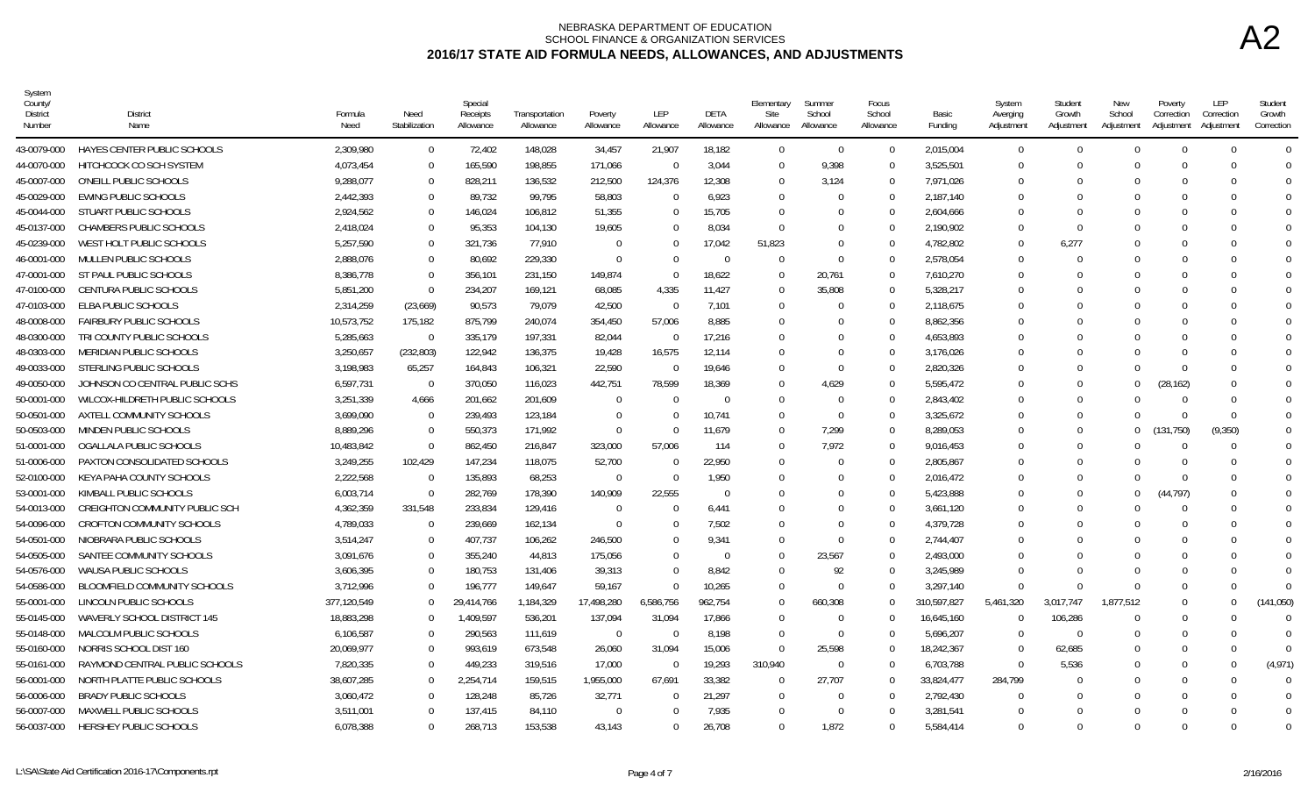| System<br>County<br>District<br>Number | <b>District</b><br>Name               | Formula<br>Need | Need<br>Stabilization | Special<br>Receipts<br>Allowance | Transportation<br>Allowance | Poverty<br>Allowance | LEP<br>Allowance | <b>DETA</b><br>Allowance | Elementary<br>Site<br>Allowance | Summer<br>School<br>Allowance | Focus<br>School<br>Allowance | Basic<br>Funding | System<br>Averging<br>Adjustment | Student<br>Growth<br>Adjustment | New<br>School<br>Adjustment | Poverty<br>Correction<br>Adjustment | LEP<br>Correction<br>Adjustment | Student<br>Growth<br>Correction |
|----------------------------------------|---------------------------------------|-----------------|-----------------------|----------------------------------|-----------------------------|----------------------|------------------|--------------------------|---------------------------------|-------------------------------|------------------------------|------------------|----------------------------------|---------------------------------|-----------------------------|-------------------------------------|---------------------------------|---------------------------------|
| 43-0079-000                            | HAYES CENTER PUBLIC SCHOOLS           | 2,309,980       | $\overline{0}$        | 72,402                           | 148,028                     | 34,457               | 21,907           | 18,182                   | $\Omega$                        | $\Omega$                      | $\Omega$                     | 2,015,004        | $\Omega$                         | $\Omega$                        |                             | $\Omega$                            | $\Omega$                        | $\Omega$                        |
| 44-0070-000                            | HITCHCOCK CO SCH SYSTEM               | 4,073,454       | - 0                   | 165,590                          | 198,855                     | 171,066              | $\Omega$         | 3.044                    | $\Omega$                        | 9.398                         | $\Omega$                     | 3,525,501        | $\Omega$                         | $\Omega$                        |                             | $\Omega$                            | ∩                               | - 0                             |
| 45-0007-000                            | O'NEILL PUBLIC SCHOOLS                | 9,288,077       | $\Omega$              | 828,211                          | 136,532                     | 212,500              | 124,376          | 12,308                   | $\Omega$                        | 3,124                         | $\Omega$                     | 7,971,026        | $\Omega$                         | $\Omega$                        |                             | $\Omega$                            |                                 | $\Omega$                        |
| 45-0029-000                            | <b>EWING PUBLIC SCHOOLS</b>           | 2,442,393       | $\Omega$              | 89,732                           | 99,795                      | 58,803               | $\Omega$         | 6,923                    | $\Omega$                        |                               | $\Omega$                     | 2,187,140        | $\Omega$                         | $\Omega$                        |                             |                                     |                                 | $\Omega$                        |
| 45-0044-000                            | STUART PUBLIC SCHOOLS                 | 2.924.562       | $\Omega$              | 146,024                          | 106,812                     | 51,355               | $\Omega$         | 15.705                   | $\Omega$                        |                               | $\Omega$                     | 2,604,666        | $\Omega$                         | 0                               |                             | $\Omega$                            | $\Omega$                        | $\Omega$                        |
| 45-0137-000                            | CHAMBERS PUBLIC SCHOOLS               | 2,418,024       | $\Omega$              | 95,353                           | 104,130                     | 19,605               | $\Omega$         | 8,034                    | $\Omega$                        | $\cap$                        | $\Omega$                     | 2,190,902        | $\Omega$                         | $\Omega$                        |                             |                                     |                                 |                                 |
| 45-0239-000                            | WEST HOLT PUBLIC SCHOOLS              | 5.257.590       | $\Omega$              | 321,736                          | 77.910                      | $\Omega$             | $\Omega$         | 17.042                   | 51,823                          | $\Omega$                      | $\Omega$                     | 4,782,802        | $\Omega$                         | 6,277                           |                             | $\Omega$                            |                                 |                                 |
| 46-0001-000                            | MULLEN PUBLIC SCHOOLS                 | 2,888,076       | $\overline{0}$        | 80,692                           | 229,330                     | $\Omega$             | $\Omega$         | $\Omega$                 | $\Omega$                        | $\Omega$                      | $\Omega$                     | 2,578,054        | $\Omega$                         |                                 |                             |                                     |                                 |                                 |
| 47-0001-000                            | ST PAUL PUBLIC SCHOOLS                | 8,386,778       | $\Omega$              | 356,101                          | 231,150                     | 149,874              | $\Omega$         | 18,622                   | $\Omega$                        | 20,761                        | $\Omega$                     | 7,610,270        | $\Omega$                         | $\Omega$                        |                             | $\Omega$                            | <sup>0</sup>                    | $\Omega$                        |
| 47-0100-000                            | <b>CENTURA PUBLIC SCHOOLS</b>         | 5.851.200       | $\Omega$              | 234,207                          | 169,121                     | 68,085               | 4,335            | 11,427                   | $\Omega$                        | 35,808                        | $\Omega$                     | 5,328,217        | $\Omega$                         | $\Omega$                        |                             |                                     |                                 |                                 |
| 47-0103-000                            | ELBA PUBLIC SCHOOLS                   | 2.314.259       | (23,669)              | 90,573                           | 79.079                      | 42.500               | $\Omega$         | 7.101                    | $\Omega$                        | $\cap$                        | $\Omega$                     | 2,118,675        | $\Omega$                         | $\Omega$                        |                             |                                     |                                 |                                 |
| 48-0008-000                            | <b>FAIRBURY PUBLIC SCHOOLS</b>        | 10,573,752      | 175,182               | 875,799                          | 240,074                     | 354,450              | 57,006           | 8,885                    | $\Omega$                        |                               | $\Omega$                     | 8,862,356        | $\Omega$                         | $\Omega$                        |                             | $\Omega$                            |                                 |                                 |
| 48-0300-000                            | TRI COUNTY PUBLIC SCHOOLS             | 5,285,663       | $\overline{0}$        | 335,179                          | 197,331                     | 82,044               | $\Omega$         | 17,216                   | $\Omega$                        |                               | $\Omega$                     | 4,653,893        | $\Omega$                         |                                 |                             |                                     |                                 |                                 |
| 48-0303-000                            | MERIDIAN PUBLIC SCHOOLS               | 3,250,657       | (232, 803)            | 122,942                          | 136,375                     | 19,428               | 16,575           | 12,114                   | $\Omega$                        | $\Omega$                      | $\Omega$                     | 3,176,026        | $\Omega$                         | $\Omega$                        |                             | $\Omega$                            | ∩                               | - 0                             |
| 49-0033-000                            | STERLING PUBLIC SCHOOLS               | 3,198,983       | 65,257                | 164,843                          | 106,321                     | 22,590               | $\bigcap$        | 19.646                   | $\Omega$                        | $\Omega$                      | $\Omega$                     | 2,820,326        | $\Omega$                         | $\Omega$                        |                             | $\Omega$                            |                                 |                                 |
| 49-0050-000                            | JOHNSON CO CENTRAL PUBLIC SCHS        | 6,597,731       | $\Omega$              | 370,050                          | 116,023                     | 442,751              | 78,599           | 18,369                   | $\Omega$                        | 4,629                         | $\Omega$                     | 5,595,472        | $\Omega$                         | $\Omega$                        | $\cup$                      | (28, 162)                           |                                 |                                 |
| 50-0001-000                            | WILCOX-HILDRETH PUBLIC SCHOOLS        | 3,251,339       | 4,666                 | 201,662                          | 201,609                     | $\Omega$             | $\Omega$         | $\Omega$                 | $\Omega$                        | $\Omega$                      | $\Omega$                     | 2,843,402        | $\Omega$                         | $\Omega$                        |                             | $\cap$                              | $\bigcap$                       |                                 |
| 50-0501-000                            | AXTELL COMMUNITY SCHOOLS              | 3.699.090       | - 0                   | 239,493                          | 123,184                     | $\Omega$             | $\Omega$         | 10.741                   | $\Omega$                        | $\Omega$                      | $\Omega$                     | 3,325,672        | $\Omega$                         | $\Omega$                        |                             | $\Omega$                            | $\Omega$                        | $\Omega$                        |
| 50-0503-000                            | MINDEN PUBLIC SCHOOLS                 | 8.889.296       | $\Omega$              | 550,373                          | 171.992                     | $\Omega$             | $\Omega$         | 11.679                   | $\Omega$                        | 7.299                         | $\Omega$                     | 8.289.053        | $\Omega$                         | $\Omega$                        | $\Omega$                    | 131,750)                            | (9, 350)                        | $\Omega$                        |
| 51-0001-000                            | OGALLALA PUBLIC SCHOOLS               | 10,483,842      | $\Omega$              | 862,450                          | 216,847                     | 323,000              | 57,006           | 114                      | $\Omega$                        | 7,972                         | $\Omega$                     | 9,016,453        | $\Omega$                         |                                 |                             | $\Omega$                            | ſ                               |                                 |
| 51-0006-000                            | PAXTON CONSOLIDATED SCHOOLS           | 3,249,255       | 102,429               | 147,234                          | 118,075                     | 52,700               | $\Omega$         | 22,950                   | $\Omega$                        | $\cap$                        | $\Omega$                     | 2,805,867        | $\Omega$                         | $\Omega$                        |                             | $\Omega$                            | ∩                               |                                 |
| 52-0100-000                            | KEYA PAHA COUNTY SCHOOLS              | 2,222,568       | $\overline{0}$        | 135,893                          | 68,253                      | $\Omega$             | $\Omega$         | 1,950                    | $\Omega$                        | - 0                           | $\Omega$                     | 2,016,472        | $\Omega$                         | $\Omega$                        |                             | $\Omega$                            | ſ                               |                                 |
| 53-0001-000                            | KIMBALL PUBLIC SCHOOLS                | 6,003,714       | $\overline{0}$        | 282,769                          | 178.390                     | 140,909              | 22,555           | $\Omega$                 | $\Omega$                        |                               | $\Omega$                     | 5,423,888        | $\Omega$                         | $\Omega$                        |                             | (44.797)                            | ∩                               | $\Omega$                        |
| 54-0013-000                            | <b>CREIGHTON COMMUNITY PUBLIC SCH</b> | 4,362,359       | 331,548               | 233,834                          | 129,416                     | - 0                  | $\Omega$         | 6,441                    | $\Omega$                        |                               | $\Omega$                     | 3,661,120        | $\Omega$                         | $\Omega$                        |                             | $\Omega$                            |                                 | $\Omega$                        |
| 54-0096-000                            | <b>CROFTON COMMUNITY SCHOOLS</b>      | 4,789,033       | $\overline{0}$        | 239,669                          | 162,134                     | $\Omega$             | $\Omega$         | 7.502                    | $\Omega$                        | $\Omega$                      | $\Omega$                     | 4,379,728        | $\Omega$                         | $\Omega$                        |                             | $\Omega$                            |                                 |                                 |
| 54-0501-000                            | NIOBRARA PUBLIC SCHOOLS               | 3,514,247       | $\overline{0}$        | 407,737                          | 106,262                     | 246,500              | 0                | 9,341                    | $\Omega$                        | $\Omega$                      | $\Omega$                     | 2,744,407        | $\Omega$                         |                                 |                             |                                     |                                 |                                 |
| 54-0505-000                            | SANTEE COMMUNITY SCHOOLS              | 3,091,676       | $\Omega$              | 355,240                          | 44,813                      | 175,056              | $\Omega$         | $\Omega$                 | $\Omega$                        | 23,567                        | $\Omega$                     | 2,493,000        | $\Omega$                         |                                 |                             |                                     |                                 |                                 |
| 54-0576-000                            | <b>WAUSA PUBLIC SCHOOLS</b>           | 3,606,395       | $\overline{0}$        | 180,753                          | 131,406                     | 39,313               | $\Omega$         | 8,842                    | $\Omega$                        | 92                            | $\Omega$                     | 3,245,989        | $\cap$                           | $\Omega$                        |                             | $\Omega$                            | ∩                               | $\Omega$                        |
| 54-0586-000                            | <b>BLOOMFIELD COMMUNITY SCHOOLS</b>   | 3,712,996       | $\Omega$              | 196,777                          | 149,647                     | 59,167               | $\Omega$         | 10,265                   | $\Omega$                        | $\cap$                        | $\Omega$                     | 3.297.140        | $\Omega$                         |                                 |                             | $\Omega$                            |                                 | $\cap$                          |
| 55-0001-000                            | LINCOLN PUBLIC SCHOOLS                | 377,120,549     | $\Omega$              | 29,414,766                       | 1,184,329                   | 17,498,280           | 6,586,756        | 962,754                  | $\Omega$                        | 660,308                       | $\Omega$                     | 310,597,827      | 5,461,320                        | 3.017.747                       | 1.877.512                   | $\Omega$                            | $\Omega$                        | (141, 050)                      |
| 55-0145-000                            | WAVERLY SCHOOL DISTRICT 145           | 18.883.298      | $\Omega$              | 1,409,597                        | 536.201                     | 137,094              | 31,094           | 17,866                   | $\Omega$                        | $\Omega$                      | $\Omega$                     | 16.645.160       | $\Omega$                         | 106,286                         |                             | $\Omega$                            | ∩                               | $\Omega$                        |
| 55-0148-000                            | MALCOLM PUBLIC SCHOOLS                | 6,106,587       | $\Omega$              | 290,563                          | 111,619                     | $\Omega$             | $\Omega$         | 8,198                    | $\Omega$                        | $\Omega$                      | $\Omega$                     | 5,696,207        | $\Omega$                         | $\Omega$                        |                             | $\Omega$                            |                                 | $\Omega$                        |
| 55-0160-000                            | NORRIS SCHOOL DIST 160                | 20,069,977      | $\Omega$              | 993,619                          | 673,548                     | 26,060               | 31,094           | 15,006                   | $\Omega$                        | 25,598                        | $\Omega$                     | 18,242,367       | $\Omega$                         | 62,685                          |                             | $\Omega$                            |                                 | $\Omega$                        |
| 55-0161-000                            | RAYMOND CENTRAL PUBLIC SCHOOLS        | 7,820,335       | $\Omega$              | 449,233                          | 319,516                     | 17,000               | $\Omega$         | 19,293                   | 310,940                         | $\Omega$                      | $\cup$                       | 6,703,788        | $\Omega$                         | 5,536                           |                             | $\Omega$                            | $\Box$                          | (4, 971)                        |
| 56-0001-000                            | NORTH PLATTE PUBLIC SCHOOLS           | 38,607,285      | $\Omega$              | 2,254,714                        | 159,515                     | 1,955,000            | 67,691           | 33,382                   | $\Omega$                        | 27,707                        | $\Omega$                     | 33,824,477       | 284,799                          | $\Omega$                        |                             | $\Omega$                            | n                               | $\Omega$                        |
| 56-0006-000                            | <b>BRADY PUBLIC SCHOOLS</b>           | 3,060,472       | $\Omega$              | 128,248                          | 85,726                      | 32,771               | $\Omega$         | 21,297                   | $\Omega$                        | $\Omega$                      | $\Omega$                     | 2,792,430        | $\Omega$                         | $\Omega$                        |                             |                                     |                                 | - 0                             |
| 56-0007-000                            | MAXWELL PUBLIC SCHOOLS                | 3,511,001       | $\Omega$              | 137,415                          | 84,110                      | $\Omega$             | $\Omega$         | 7,935                    | $\Omega$                        | $\Omega$                      | $\Omega$                     | 3,281,541        | $\Omega$                         | $\Omega$                        |                             |                                     |                                 | $\Omega$                        |
| 56-0037-000                            | <b>HERSHEY PUBLIC SCHOOLS</b>         | 6.078.388       | $\Omega$              | 268,713                          | 153,538                     | 43,143               | $\Omega$         | 26,708                   | $\Omega$                        | 1.872                         | $\Omega$                     | 5.584.414        | $\Omega$                         | $\Omega$                        |                             | $\Omega$                            | $\Omega$                        | $\Omega$                        |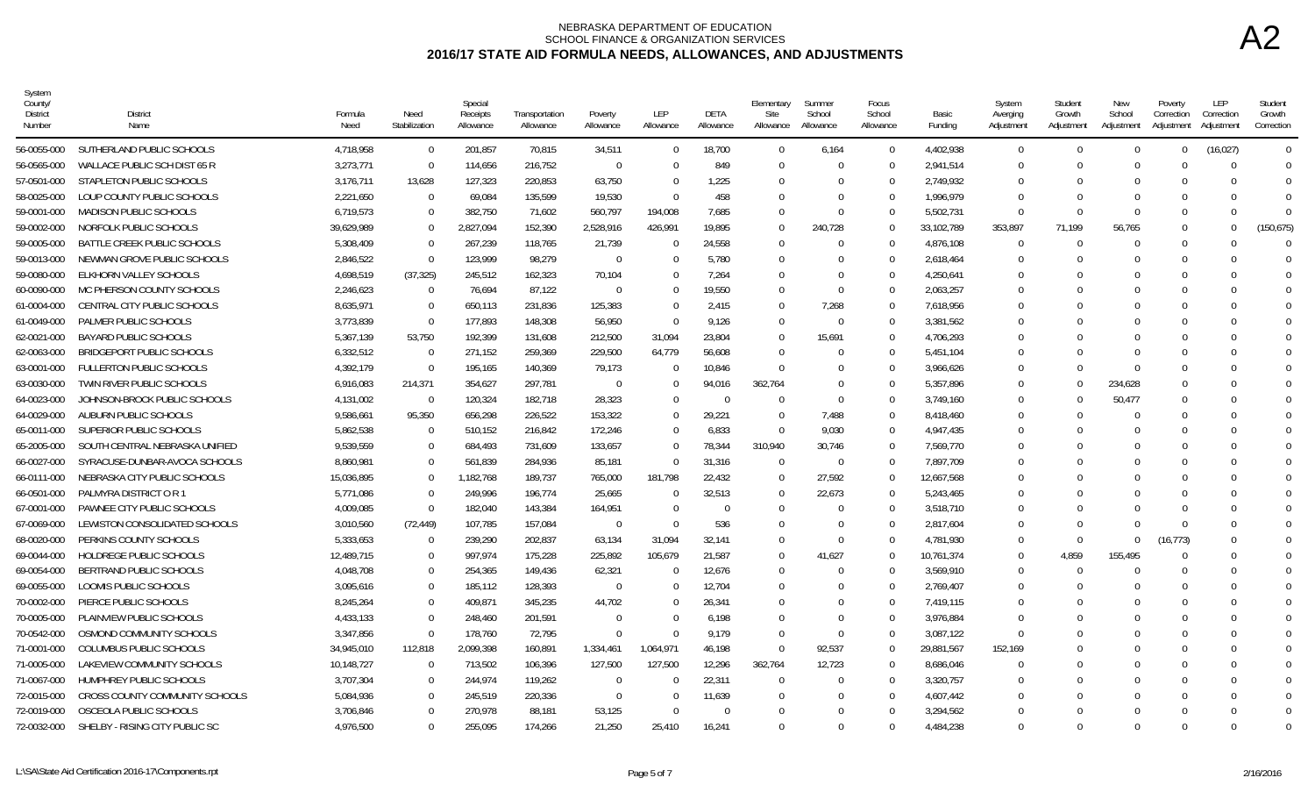| System<br>County<br>District<br>Number | <b>District</b><br>Name          | Formula<br>Need | Need<br>Stabilization | Special<br>Receipts<br>Allowance | Transportation<br>Allowance | Poverty<br>Allowance | LEP<br>Allowance | DETA<br>Allowance | Elementary<br>Site<br>Allowance | Summer<br>School<br>Allowance | Focus<br>School<br>Allowance | Basic<br>Funding | System<br>Averging<br>Adjustment | Student<br>Growth<br>Adjustment | New<br>School<br>Adjustment | Poverty<br>Correction<br>Adjustment | LEP<br>Correction<br>Adjustment | Student<br>Growth<br>Correction |
|----------------------------------------|----------------------------------|-----------------|-----------------------|----------------------------------|-----------------------------|----------------------|------------------|-------------------|---------------------------------|-------------------------------|------------------------------|------------------|----------------------------------|---------------------------------|-----------------------------|-------------------------------------|---------------------------------|---------------------------------|
| 56-0055-000                            | SUTHERLAND PUBLIC SCHOOLS        | 4,718,958       | $\overline{0}$        | 201,857                          | 70,815                      | 34,511               | $\mathbf 0$      | 18,700            | $\overline{0}$                  | 6,164                         | $\Omega$                     | 4,402,938        | $\Omega$                         | $\Omega$                        | $\Omega$                    | $\Omega$                            | (16, 027)                       | $\Omega$                        |
| 56-0565-000                            | WALLACE PUBLIC SCH DIST 65 R     | 3,273,771       | $\overline{0}$        | 114,656                          | 216,752                     | $\Omega$             | $\Omega$         | 849               | - 0                             | $\Omega$                      | $\Omega$                     | 2,941,514        | $\Omega$                         | $\Omega$                        | $\Omega$                    |                                     | $\Omega$                        | - 0                             |
| 57-0501-000                            | STAPLETON PUBLIC SCHOOLS         | 3,176,711       | 13,628                | 127,323                          | 220,853                     | 63,750               | $\Omega$         | 1,225             | $\Omega$                        | $\Omega$                      | $\Omega$                     | 2,749,932        | $\Omega$                         | $\Omega$                        |                             |                                     | ſ                               | $\Omega$                        |
| 58-0025-000                            | LOUP COUNTY PUBLIC SCHOOLS       | 2,221,650       | $\Omega$              | 69,084                           | 135,599                     | 19,530               | $\Omega$         | 458               | $\Omega$                        | $\Omega$                      | $\Omega$                     | 1,996,979        | $\Omega$                         | $\Omega$                        |                             |                                     | $\Omega$                        | $\Omega$                        |
| 59-0001-000                            | <b>MADISON PUBLIC SCHOOLS</b>    | 6.719.573       | $\Omega$              | 382.750                          | 71,602                      | 560,797              | 194,008          | 7,685             | $\Omega$                        | $\Omega$                      | $\Omega$                     | 5,502,731        | $\Omega$                         | $\Omega$                        |                             | $\Omega$                            | $\Omega$                        | $\Omega$                        |
| 59-0002-000                            | NORFOLK PUBLIC SCHOOLS           | 39,629,989      | $\Omega$              | 2,827,094                        | 152,390                     | 2,528,916            | 426,991          | 19,895            | $\Omega$                        | 240,728                       | $\Omega$                     | 33,102,789       | 353,897                          | 71.199                          | 56,765                      | $\Omega$                            | $\Omega$                        | (150, 675)                      |
| 59-0005-000                            | BATTLE CREEK PUBLIC SCHOOLS      | 5.308.409       | $\Omega$              | 267,239                          | 118,765                     | 21,739               | $\Omega$         | 24,558            | $\overline{0}$                  | $\Omega$                      | $\Omega$                     | 4,876,108        | $\Omega$                         | $\Omega$                        |                             | $\Omega$                            | ∩                               | $\cap$                          |
| 59-0013-000                            | NEWMAN GROVE PUBLIC SCHOOLS      | 2,846,522       | $\overline{0}$        | 123,999                          | 98,279                      | $\overline{0}$       | $\overline{0}$   | 5,780             | $\overline{0}$                  | $\Omega$                      | $\Omega$                     | 2,618,464        | $\Omega$                         |                                 |                             | $\Omega$                            |                                 |                                 |
| 59-0080-000                            | ELKHORN VALLEY SCHOOLS           | 4,698,519       | (37, 325)             | 245,512                          | 162,323                     | 70,104               | $\mathbf 0$      | 7,264             | $\overline{0}$                  | $\Omega$                      | $\Omega$                     | 4,250,641        | $\Omega$                         | $\Omega$                        |                             |                                     | ∩                               | $\Omega$                        |
| 60-0090-000                            | MC PHERSON COUNTY SCHOOLS        | 2,246,623       | $\overline{0}$        | 76,694                           | 87,122                      | $\Omega$             | $\Omega$         | 19,550            | - 0                             | $\Omega$                      | $\Omega$                     | 2,063,257        | $\Omega$                         | $\Omega$                        |                             |                                     |                                 |                                 |
| 61-0004-000                            | CENTRAL CITY PUBLIC SCHOOLS      | 8.635.971       | $\Omega$              | 650,113                          | 231,836                     | 125,383              | $\Omega$         | 2.415             | $\overline{0}$                  | 7,268                         | $\Omega$                     | 7.618.956        | $\Omega$                         | $\cup$                          |                             |                                     |                                 |                                 |
| 61-0049-000                            | PALMER PUBLIC SCHOOLS            | 3,773,839       | $\overline{0}$        | 177,893                          | 148,308                     | 56,950               | $\Omega$         | 9,126             | $\Omega$                        | $\Omega$                      | $\Omega$                     | 3,381,562        | - 0                              |                                 |                             |                                     |                                 |                                 |
| 62-0021-000                            | <b>BAYARD PUBLIC SCHOOLS</b>     | 5,367,139       | 53,750                | 192,399                          | 131,608                     | 212,500              | 31,094           | 23,804            | $\overline{0}$                  | 15,691                        | $\Omega$                     | 4,706,293        | $\Omega$                         |                                 |                             |                                     |                                 |                                 |
| 62-0063-000                            | <b>BRIDGEPORT PUBLIC SCHOOLS</b> | 6,332,512       | - 0                   | 271,152                          | 259,369                     | 229,500              | 64,779           | 56,608            | - 0                             | $\Omega$                      | $\Omega$                     | 5,451,104        | $\Omega$                         | $\Omega$                        |                             |                                     | $\Box$                          | $\Omega$                        |
| 63-0001-000                            | <b>FULLERTON PUBLIC SCHOOLS</b>  | 4,392,179       | $\Omega$              | 195,165                          | 140,369                     | 79,173               | $\Omega$         | 10,846            | $\Omega$                        |                               |                              | 3,966,626        | - 0                              |                                 |                             |                                     |                                 |                                 |
| 63-0030-000                            | TWIN RIVER PUBLIC SCHOOLS        | 6,916,083       | 214,371               | 354,627                          | 297,781                     | $\Omega$             | $\mathbf 0$      | 94,016            | 362,764                         | $\Omega$                      | $\Omega$                     | 5,357,896        | $\Omega$                         | $\cup$                          | 234,628                     | $\cup$                              | n                               |                                 |
| 64-0023-000                            | JOHNSON-BROCK PUBLIC SCHOOLS     | 4,131,002       | $\overline{0}$        | 120,324                          | 182,718                     | 28,323               | $\Omega$         | $\Omega$          | $\overline{0}$                  | $\Omega$                      | $\Omega$                     | 3,749,160        | $\Omega$                         | $\Omega$                        | 50,477                      | $\Omega$                            | O                               |                                 |
| 64-0029-000                            | AUBURN PUBLIC SCHOOLS            | 9.586.661       | 95,350                | 656,298                          | 226,522                     | 153,322              | $\Omega$         | 29,221            | $\overline{0}$                  | 7.488                         | $\Omega$                     | 8,418,460        | $\Omega$                         | $\Omega$                        |                             |                                     |                                 | $\Omega$                        |
| 65-0011-000                            | SUPERIOR PUBLIC SCHOOLS          | 5.862.538       | $\Omega$              | 510.152                          | 216.842                     | 172,246              | $\Omega$         | 6,833             | $\Omega$                        | 9.030                         | $\Omega$                     | 4.947.435        | $\Omega$                         | $\Omega$                        |                             | $\Omega$                            | $\Omega$                        | $\Omega$                        |
| 65-2005-000                            | SOUTH CENTRAL NEBRASKA UNIFIED   | 9,539,559       | $\mathbf{0}$          | 684,493                          | 731,609                     | 133,657              | $\Omega$         | 78,344            | 310,940                         | 30,746                        | $\Omega$                     | 7,569,770        | - 0                              |                                 |                             |                                     |                                 |                                 |
| 66-0027-000                            | SYRACUSE-DUNBAR-AVOCA SCHOOLS    | 8,860,981       | $\mathbf 0$           | 561,839                          | 284,936                     | 85,181               | $\Omega$         | 31,316            | $\overline{0}$                  | $\Omega$                      | $\Omega$                     | 7,897,709        | $\cap$                           | $\Omega$                        |                             | $\cap$                              | ∩                               |                                 |
| 66-0111-000                            | NEBRASKA CITY PUBLIC SCHOOLS     | 15,036,895      | $\theta$              | 1,182,768                        | 189,737                     | 765,000              | 181,798          | 22,432            | $\overline{0}$                  | 27,592                        | $\Omega$                     | 12,667,568       | - 0                              |                                 |                             |                                     |                                 |                                 |
| 66-0501-000                            | PALMYRA DISTRICT O R 1           | 5.771.086       | $\Omega$              | 249.996                          | 196,774                     | 25,665               | $\Omega$         | 32.513            | - 0                             | 22.673                        | $\Omega$                     | 5,243,465        | $\Omega$                         | $\Omega$                        |                             | $\Omega$                            | ∩                               | $\Omega$                        |
| 67-0001-000                            | PAWNEE CITY PUBLIC SCHOOLS       | 4,009,085       | $\Omega$              | 182,040                          | 143,384                     | 164,951              | $\Omega$         | $\Omega$          | $\overline{0}$                  | $\Omega$                      | $\Omega$                     | 3,518,710        | - 0                              |                                 |                             |                                     |                                 |                                 |
| 67-0069-000                            | LEWISTON CONSOLIDATED SCHOOLS    | 3,010,560       | (72, 449)             | 107,785                          | 157,084                     | $\Omega$             | $\Omega$         | 536               | $\overline{0}$                  | $\Omega$                      | $\Omega$                     | 2,817,604        | $\Omega$                         | $\Omega$                        |                             | $\Omega$                            |                                 |                                 |
| 68-0020-000                            | PERKINS COUNTY SCHOOLS           | 5,333,653       | $\mathbf 0$           | 239,290                          | 202,837                     | 63,134               | 31,094           | 32,141            | $\overline{0}$                  | $\Omega$                      | $\Omega$                     | 4,781,930        | $\Omega$                         | $\Omega$                        | $\Omega$                    | (16, 773)                           |                                 |                                 |
| 69-0044-000                            | <b>HOLDREGE PUBLIC SCHOOLS</b>   | 12,489,715      | $\Omega$              | 997,974                          | 175,228                     | 225,892              | 105,679          | 21,587            | - 0                             | 41,627                        | $\Omega$                     | 10,761,374       | $\Omega$                         | 4.859                           | 155,495                     | $\Omega$                            |                                 |                                 |
| 69-0054-000                            | BERTRAND PUBLIC SCHOOLS          | 4,048,708       | $\mathbf{0}$          | 254,365                          | 149,436                     | 62,321               | $\mathbf 0$      | 12,676            | $\overline{0}$                  | $\Omega$                      | $\Omega$                     | 3,569,910        | $\Omega$                         | $\Omega$                        |                             | $\Omega$                            | ∩                               | $\Omega$                        |
| 69-0055-000                            | LOOMIS PUBLIC SCHOOLS            | 3,095,616       | $\Omega$              | 185,112                          | 128,393                     | $\Omega$             | $\Omega$         | 12,704            | $\overline{0}$                  |                               | $\cap$                       | 2,769,407        | $\Omega$                         |                                 |                             |                                     |                                 |                                 |
| 70-0002-000                            | PIERCE PUBLIC SCHOOLS            | 8,245,264       | $\mathbf 0$           | 409,871                          | 345,235                     | 44,702               | $\Omega$         | 26,341            | $\overline{0}$                  | $\Omega$                      | $\Omega$                     | 7,419,115        | $\Omega$                         | $\cup$                          |                             |                                     |                                 |                                 |
| 70-0005-000                            | PLAINVIEW PUBLIC SCHOOLS         | 4.433.133       | $\Omega$              | 248,460                          | 201,591                     | $\Omega$             | $\Omega$         | 6,198             | - 0                             | $\Omega$                      | $\Omega$                     | 3,976,884        | $\Omega$                         | -0                              |                             |                                     |                                 |                                 |
| 70-0542-000                            | OSMOND COMMUNITY SCHOOLS         | 3,347,856       | $\Omega$              | 178,760                          | 72,795                      | $\Omega$             | $\Omega$         | 9,179             | $\overline{0}$                  | $\Omega$                      | $\Omega$                     | 3,087,122        | $\Omega$                         | $\cup$                          |                             |                                     |                                 |                                 |
| 71-0001-000                            | COLUMBUS PUBLIC SCHOOLS          | 34,945,010      | 112,818               | 2,099,398                        | 160,891                     | 1,334,461            | 1,064,971        | 46,198            | $\Omega$                        | 92,537                        | $\Omega$                     | 29,881,567       | 152,169                          | $\Omega$                        |                             |                                     |                                 | $\Omega$                        |
| 71-0005-000                            | LAKEVIEW COMMUNITY SCHOOLS       | 10,148,727      | $\Omega$              | 713,502                          | 106,396                     | 127,500              | 127,500          | 12,296            | 362,764                         | 12,723                        |                              | 8,686,046        | $\Omega$                         | -0                              |                             |                                     |                                 |                                 |
| 71-0067-000                            | HUMPHREY PUBLIC SCHOOLS          | 3,707,304       | $\Omega$              | 244,974                          | 119,262                     | $\Omega$             | $\Omega$         | 22,311            | - 0                             | $\Omega$                      | $\Omega$                     | 3,320,757        | $\Omega$                         | $\cup$                          |                             |                                     |                                 |                                 |
| 72-0015-000                            | CROSS COUNTY COMMUNITY SCHOOLS   | 5,084,936       | $\Omega$              | 245,519                          | 220,336                     | $\Omega$             | $\Omega$         | 11,639            | - 0                             | $\Omega$                      | $\Omega$                     | 4,607,442        | - 0                              | $\Omega$                        |                             |                                     |                                 |                                 |
| 72-0019-000                            | OSCEOLA PUBLIC SCHOOLS           | 3,706,846       | $\Omega$              | 270,978                          | 88,181                      | 53,125               | $\Omega$         | $\Omega$          | $\Omega$                        | $\Omega$                      | $\cap$                       | 3,294,562        | $\Omega$                         | $\Omega$                        |                             |                                     | $\Omega$                        | $\overline{0}$                  |
| 72-0032-000                            | SHELBY - RISING CITY PUBLIC SC   | 4.976.500       | $\Omega$              | 255,095                          | 174,266                     | 21.250               | 25.410           | 16,241            | $\Omega$                        | $\Omega$                      | - 0                          | 4,484,238        | $\Omega$                         | $\Omega$                        |                             | $\Omega$                            | $\Omega$                        | $\Omega$                        |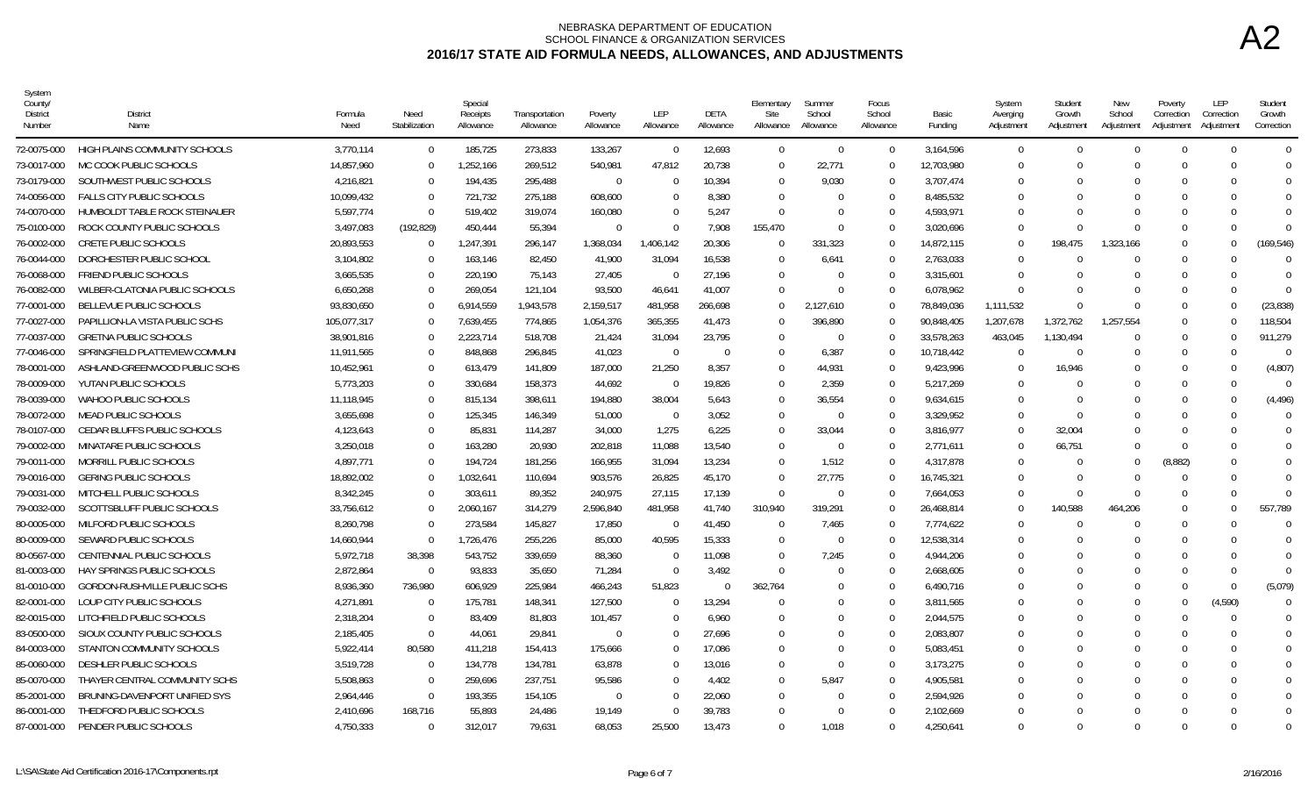| System<br>County<br>District<br>Number | <b>District</b><br>Name             | Formula<br>Need | Need<br>Stabilization | Special<br>Receipts<br>Allowance | Transportation<br>Allowance | Poverty<br>Allowance | <b>LEP</b><br>Allowance | <b>DETA</b><br>Allowance | Elementary<br>Site<br>Allowance | Summer<br>School<br>Allowance | Focus<br>School<br>Allowance | Basic<br>Funding | System<br>Averging<br>Adjustment | Student<br>Growth<br>Adjustment | New<br>School<br>Adjustment | Poverty<br>Correction<br>Adjustment | LEP<br>Correction<br>Adjustment | Student<br>Growth<br>Correction |
|----------------------------------------|-------------------------------------|-----------------|-----------------------|----------------------------------|-----------------------------|----------------------|-------------------------|--------------------------|---------------------------------|-------------------------------|------------------------------|------------------|----------------------------------|---------------------------------|-----------------------------|-------------------------------------|---------------------------------|---------------------------------|
| 72-0075-000                            | HIGH PLAINS COMMUNITY SCHOOLS       | 3,770,114       | $\mathbf 0$           | 185,725                          | 273,833                     | 133,267              | $\Omega$                | 12,693                   | $\overline{0}$                  | $\Omega$                      | $\Omega$                     | 3,164,596        | $\Omega$                         | $\Omega$                        | $\cup$                      | $\Omega$                            | $\Omega$                        | $\overline{0}$                  |
| 73-0017-000                            | MC COOK PUBLIC SCHOOLS              | 14,857,960      | $\Omega$              | 1,252,166                        | 269,512                     | 540,981              | 47,812                  | 20,738                   | $\Omega$                        | 22,771                        | $\Omega$                     | 12,703,980       | $\Omega$                         | $\Omega$                        |                             | $\Omega$                            | $\Omega$                        | $\Omega$                        |
| 73-0179-000                            | SOUTHWEST PUBLIC SCHOOLS            | 4,216,821       | $\Omega$              | 194,435                          | 295,488                     | - 0                  | $\Omega$                | 10,394                   | $\Omega$                        | 9,030                         | $\Omega$                     | 3,707,474        | $\Omega$                         | 0                               |                             | $\Omega$                            |                                 | $\Omega$                        |
| 74-0056-000                            | <b>FALLS CITY PUBLIC SCHOOLS</b>    | 10.099.432      | $\Omega$              | 721.732                          | 275.188                     | 608,600              | $\Omega$                | 8.380                    | $\Omega$                        |                               | $\Omega$                     | 8.485.532        | $\Omega$                         | $\Omega$                        |                             |                                     |                                 | $\Omega$                        |
| 74-0070-000                            | HUMBOLDT TABLE ROCK STEINAUER       | 5.597.774       | $\overline{0}$        | 519,402                          | 319,074                     | 160,080              | $\Omega$                | 5,247                    | $\Omega$                        | $\Omega$                      | $\Omega$                     | 4,593,971        | $\Omega$                         | $\Omega$                        |                             | $\Omega$                            | ∩                               | $\Omega$                        |
| 75-0100-000                            | ROCK COUNTY PUBLIC SCHOOLS          | 3,497,083       | (192, 829)            | 450,444                          | 55,394                      | $\Omega$             | $\theta$                | 7,908                    | 155,470                         | $\cap$                        |                              | 3,020,696        | $\Omega$                         | $\cap$                          |                             | $\Omega$                            |                                 | $\Omega$                        |
| 76-0002-000                            | <b>CRETE PUBLIC SCHOOLS</b>         | 20,893,553      | $\overline{0}$        | 1,247,391                        | 296,147                     | 1,368,034            | 1,406,142               | 20,306                   | $\Omega$                        | 331,323                       | $\Omega$                     | 14,872,115       | $\Omega$                         | 198.475                         | 1,323,166                   | $\Omega$                            | $\Omega$                        | (169, 546)                      |
| 76-0044-000                            | DORCHESTER PUBLIC SCHOOL            | 3,104,802       | $\Omega$              | 163,146                          | 82,450                      | 41,900               | 31,094                  | 16,538                   | $\Omega$                        | 6,641                         | $\Omega$                     | 2,763,033        | $\Omega$                         |                                 |                             | $\Omega$                            | ſ                               | $\cap$                          |
| 76-0068-000                            | <b>FRIEND PUBLIC SCHOOLS</b>        | 3.665.535       | $\Omega$              | 220.190                          | 75.143                      | 27,405               | - 0                     | 27.196                   | $\Omega$                        | $\Omega$                      | $\Omega$                     | 3,315,601        | $\Omega$                         | $\Omega$                        |                             | $\Omega$                            | ∩                               | $\Omega$                        |
| 76-0082-000                            | WILBER-CLATONIA PUBLIC SCHOOLS      | 6,650,268       | $\Omega$              | 269,054                          | 121,104                     | 93,500               | 46,641                  | 41,007                   | $\Omega$                        | $\cap$                        | $\Omega$                     | 6,078,962        | $\Omega$                         | $\Omega$                        |                             | $\Omega$                            | $\bigcap$                       | $\Omega$                        |
| 77-0001-000                            | BELLEVUE PUBLIC SCHOOLS             | 93,830,650      | $\Omega$              | 6,914,559                        | 1,943,578                   | 2,159,517            | 481,958                 | 266,698                  | $\Omega$                        | 2,127,610                     | $\Omega$                     | 78,849,036       | 1.111.532                        | $\Omega$                        |                             | $\Omega$                            | $\Omega$                        | (23, 838)                       |
| 77-0027-000                            | PAPILLION-LA VISTA PUBLIC SCHS      | 105,077,317     | - 0                   | 7,639,455                        | 774,865                     | 1,054,376            | 365,355                 | 41,473                   | $\Omega$                        | 396,890                       | $\Omega$                     | 90,848,405       | 1,207,678                        | 1,372,762                       | 1,257,554                   | $\Omega$                            | <sup>0</sup>                    | 118,504                         |
| 77-0037-000                            | <b>GRETNA PUBLIC SCHOOLS</b>        | 38,901,816      | $\Omega$              | 2,223,714                        | 518,708                     | 21,424               | 31,094                  | 23,795                   | $\Omega$                        | $\Omega$                      | $\Omega$                     | 33,578,263       | 463,045                          | 1,130,494                       |                             | $\Omega$                            | ∩                               | 911,279                         |
| 77-0046-000                            | SPRINGFIELD PLATTEVIEW COMMUNI      | 11.911.565      | $\Omega$              | 848.868                          | 296.845                     | 41.023               | $\Omega$                | - 0                      | $\Omega$                        | 6.387                         | $\Omega$                     | 10.718.442       | $\Omega$                         | $\Omega$                        |                             | $\Omega$                            | $\Omega$                        | - 0                             |
| 78-0001-000                            | ASHLAND-GREENWOOD PUBLIC SCHS       | 10,452,961      | $\Omega$              | 613,479                          | 141,809                     | 187,000              | 21,250                  | 8,357                    | $\Omega$                        | 44,931                        | $\Omega$                     | 9,423,996        | $\Omega$                         | 16,946                          |                             | $\Omega$                            | ſ                               | (4,807)                         |
| 78-0009-000                            | YUTAN PUBLIC SCHOOLS                | 5,773,203       | $\overline{0}$        | 330,684                          | 158,373                     | 44,692               | $\Omega$                | 19,826                   | $\Omega$                        | 2,359                         | $\Omega$                     | 5,217,269        | $\Omega$                         | $\Omega$                        |                             | $\Omega$                            | $\Omega$                        | $\Omega$                        |
| 78-0039-000                            | WAHOO PUBLIC SCHOOLS                | 11,118,945      | $\Omega$              | 815,134                          | 398,611                     | 194,880              | 38,004                  | 5,643                    | $\Omega$                        | 36,554                        | $\Omega$                     | 9,634,615        | $\Omega$                         | 0                               |                             | $\Omega$                            | $\Omega$                        | (4, 496)                        |
| 78-0072-000                            | MEAD PUBLIC SCHOOLS                 | 3,655,698       | $\Omega$              | 125,345                          | 146.349                     | 51,000               | $\overline{0}$          | 3,052                    | $\Omega$                        | $\Omega$                      | $\Omega$                     | 3,329,952        | $\Omega$                         | $\Omega$                        |                             | $\Omega$                            |                                 | $\Omega$                        |
| 78-0107-000                            | CEDAR BLUFFS PUBLIC SCHOOLS         | 4,123,643       | $\Omega$              | 85,831                           | 114,287                     | 34,000               | 1,275                   | 6,225                    | $\Omega$                        | 33,044                        | $\Omega$                     | 3,816,977        | $\Omega$                         | 32,004                          |                             | $\Omega$                            |                                 | $\Omega$                        |
| 79-0002-000                            | MINATARE PUBLIC SCHOOLS             | 3,250,018       | $\Omega$              | 163,280                          | 20,930                      | 202,818              | 11,088                  | 13,540                   | $\Omega$                        | $\Omega$                      | $\Omega$                     | 2,771,611        | $\Omega$                         | 66,751                          |                             | $\Omega$                            |                                 | $\Omega$                        |
| 79-0011-000                            | MORRILL PUBLIC SCHOOLS              | 4,897,771       | $\Omega$              | 194,724                          | 181,256                     | 166,955              | 31,094                  | 13,234                   | $\Omega$                        | 1,512                         | $\Omega$                     | 4,317,878        | $\Omega$                         | $\Omega$                        | $\Omega$                    | (8,882)                             |                                 | $\Omega$                        |
| 79-0016-000                            | <b>GERING PUBLIC SCHOOLS</b>        | 18,892,002      | $\Omega$              | 1,032,641                        | 110,694                     | 903,576              | 26,825                  | 45,170                   | $\Omega$                        | 27,775                        | $\Omega$                     | 16,745,321       | $\Omega$                         | $\Omega$                        |                             | $\Omega$                            | $\Omega$                        |                                 |
| 79-0031-000                            | MITCHELL PUBLIC SCHOOLS             | 8,342,245       | $\Omega$              | 303.611                          | 89.352                      | 240,975              | 27.115                  | 17.139                   | $\Omega$                        | $\Omega$                      | $\Omega$                     | 7,664,053        | $\Omega$                         | $\Omega$                        |                             | $\Omega$                            | $\Omega$                        | $\Omega$                        |
| 79-0032-000                            | SCOTTSBLUFF PUBLIC SCHOOLS          | 33.756.612      | $\Omega$              | 2.060.167                        | 314.279                     | 2,596,840            | 481.958                 | 41.740                   | 310,940                         | 319.291                       | $\Omega$                     | 26.468.814       | $\Omega$                         | 140.588                         | 464.206                     | $\Omega$                            | ∩                               | 557,789                         |
| 80-0005-000                            | MILFORD PUBLIC SCHOOLS              | 8,260,798       | $\Omega$              | 273,584                          | 145,827                     | 17,850               | $\bigcap$               | 41,450                   | $\Omega$                        | 7,465                         | $\Omega$                     | 7,774,622        | $\Omega$                         |                                 |                             | $\Omega$                            |                                 |                                 |
| 80-0009-000                            | SEWARD PUBLIC SCHOOLS               | 14,660,944      | $\Omega$              | 1,726,476                        | 255,226                     | 85,000               | 40,595                  | 15,333                   | $\Omega$                        | $\cap$                        | $\Omega$                     | 12,538,314       | $\cap$                           | $\cap$                          |                             | $\Omega$                            |                                 |                                 |
| 80-0567-000                            | CENTENNIAL PUBLIC SCHOOLS           | 5,972,718       | 38,398                | 543,752                          | 339,659                     | 88,360               | $\Omega$                | 11,098                   | $\Omega$                        | 7,245                         | $\Omega$                     | 4,944,206        | $\Omega$                         | 0                               |                             | $\Omega$                            |                                 | $\Omega$                        |
| 81-0003-000                            | <b>HAY SPRINGS PUBLIC SCHOOLS</b>   | 2.872.864       | $\overline{0}$        | 93,833                           | 35,650                      | 71,284               | $\Omega$                | 3.492                    | $\Omega$                        |                               | $\Omega$                     | 2.668.605        | $\Omega$                         | $\Omega$                        |                             |                                     | $\Omega$                        | $\Omega$                        |
| 81-0010-000                            | <b>GORDON-RUSHVILLE PUBLIC SCHS</b> | 8.936.360       | 736.980               | 606.929                          | 225.984                     | 466,243              | 51.823                  | $\Omega$                 | 362.764                         |                               | $\cup$                       | 6.490.716        | $\Omega$                         | $\Omega$                        |                             | $\Omega$                            | $\Omega$                        | (5,079)                         |
| 82-0001-000                            | LOUP CITY PUBLIC SCHOOLS            | 4,271,891       | $\Omega$              | 175,781                          | 148,341                     | 127,500              | $\Omega$                | 13,294                   | $\Omega$                        |                               | $\Omega$                     | 3,811,565        | $\Omega$                         | $\Omega$                        |                             | $\Omega$                            | (4,590)                         | $\Omega$                        |
| 82-0015-000                            | LITCHFIELD PUBLIC SCHOOLS           | 2,318,204       | $\overline{0}$        | 83,409                           | 81,803                      | 101,457              | $\mathbf 0$             | 6,960                    | $\Omega$                        | $\Omega$                      | $\Omega$                     | 2,044,575        | $\Omega$                         | $\Omega$                        |                             | $\Omega$                            | $\Omega$                        | $\Omega$                        |
| 83-0500-000                            | SIOUX COUNTY PUBLIC SCHOOLS         | 2,185,405       | $\overline{0}$        | 44,061                           | 29,841                      | $\overline{0}$       | $\Omega$                | 27,696                   | $\Omega$                        |                               | $\Omega$                     | 2,083,807        | $\Omega$                         |                                 |                             |                                     |                                 | $\Omega$                        |
| 84-0003-000                            | STANTON COMMUNITY SCHOOLS           | 5,922,414       | 80,580                | 411.218                          | 154,413                     | 175,666              | $\Omega$                | 17.086                   | $\Omega$                        | $\Omega$                      | $\Omega$                     | 5,083,451        | $\Omega$                         | $\Omega$                        |                             | $\Omega$                            | ∩                               | $\Omega$                        |
| 85-0060-000                            | DESHLER PUBLIC SCHOOLS              | 3.519.728       | $\overline{0}$        | 134,778                          | 134.781                     | 63.878               | $\Omega$                | 13.016                   | $\Omega$                        | $\Omega$                      | $\Omega$                     | 3.173.275        | $\Omega$                         | $\Omega$                        |                             | $\Omega$                            |                                 | $\Omega$                        |
| 85-0070-000                            | THAYER CENTRAL COMMUNITY SCHS       | 5,508,863       | $\Omega$              | 259,696                          | 237,751                     | 95,586               | $\Omega$                | 4,402                    | $\Omega$                        | 5,847                         | $\Omega$                     | 4,905,581        | $\cap$                           | $\Omega$                        |                             |                                     |                                 |                                 |
| 85-2001-000                            | BRUNING-DAVENPORT UNIFIED SYS       | 2,964,446       | $\overline{0}$        | 193,355                          | 154,105                     | - 0                  | $\Omega$                | 22,060                   | $\Omega$                        | $\Omega$                      | $\Omega$                     | 2,594,926        | $\Omega$                         | $\Omega$                        |                             |                                     |                                 |                                 |
| 86-0001-000                            | THEDFORD PUBLIC SCHOOLS             | 2,410,696       | 168,716               | 55,893                           | 24,486                      | 19,149               | $\Omega$                | 39,783                   | $\Omega$                        | $\Omega$                      |                              | 2,102,669        | $\Omega$                         | $\Omega$                        |                             |                                     |                                 | $\Omega$                        |
| 87-0001-000                            | PENDER PUBLIC SCHOOLS               | 4,750,333       | $\Omega$              | 312.017                          | 79.631                      | 68.053               | 25.500                  | 13.473                   | $\Omega$                        | 1.018                         | $\Omega$                     | 4,250,641        | $\Omega$                         | $\cup$                          |                             | $\Omega$                            | ∩                               | $\Omega$                        |